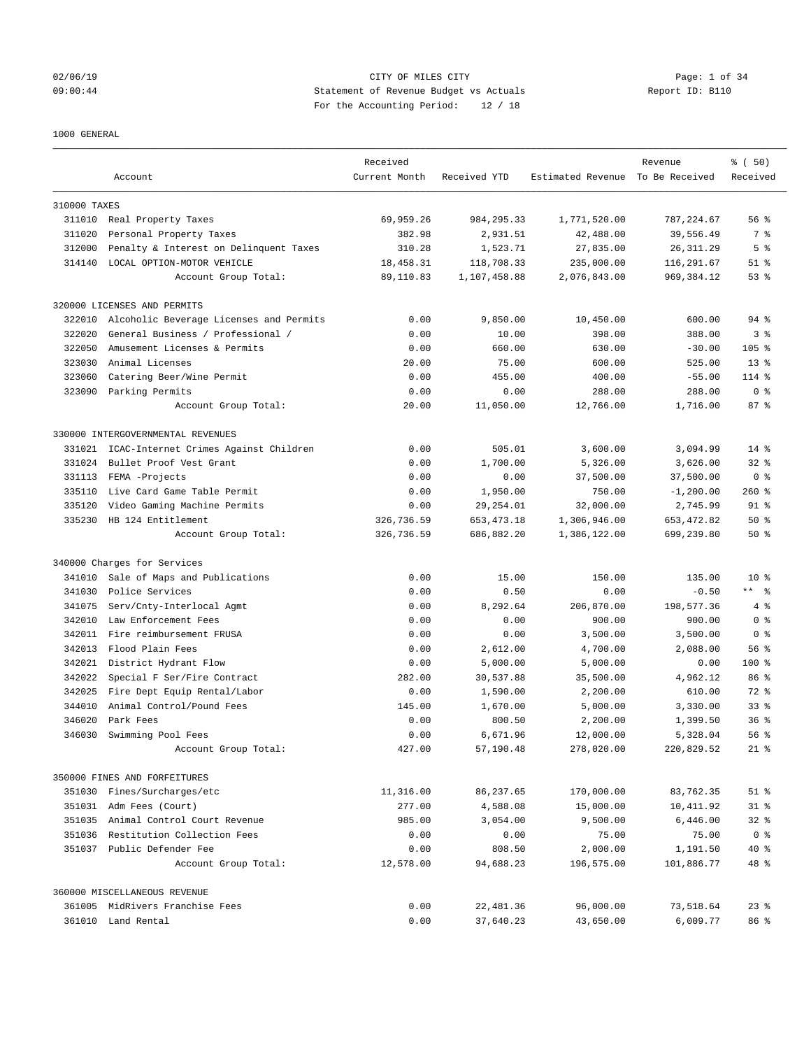## 02/06/19 CITY OF MILES CITY Page: 1 of 34 09:00:44 Statement of Revenue Budget vs Actuals Report ID: B110 For the Accounting Period: 12 / 18

#### 1000 GENERAL

|              | Account                                            | Received<br>Current Month | Received YTD        | Estimated Revenue To Be Received | Revenue                | % (50)<br>Received |
|--------------|----------------------------------------------------|---------------------------|---------------------|----------------------------------|------------------------|--------------------|
|              |                                                    |                           |                     |                                  |                        |                    |
| 310000 TAXES |                                                    |                           |                     |                                  |                        |                    |
|              | 311010 Real Property Taxes                         | 69,959.26                 | 984, 295.33         | 1,771,520.00                     | 787, 224.67            | 56%                |
| 311020       | Personal Property Taxes                            | 382.98                    | 2,931.51            | 42,488.00                        | 39,556.49              | 7 %                |
| 312000       | Penalty & Interest on Delinquent Taxes             | 310.28                    | 1,523.71            | 27,835.00                        | 26, 311.29             | 5 <sup>°</sup>     |
| 314140       | LOCAL OPTION-MOTOR VEHICLE                         | 18,458.31                 | 118,708.33          | 235,000.00                       | 116,291.67             | $51$ $\frac{6}{3}$ |
|              | Account Group Total:                               | 89,110.83                 | 1,107,458.88        | 2,076,843.00                     | 969,384.12             | 53%                |
|              | 320000 LICENSES AND PERMITS                        |                           |                     |                                  |                        |                    |
| 322010       | Alcoholic Beverage Licenses and Permits            | 0.00                      | 9,850.00            | 10,450.00                        | 600.00                 | $94$ %             |
| 322020       | General Business / Professional /                  | 0.00                      | 10.00               | 398.00                           | 388.00                 | 3 <sup>8</sup>     |
| 322050       | Amusement Licenses & Permits                       | 0.00                      | 660.00              | 630.00                           | $-30.00$               | $105$ %            |
| 323030       | Animal Licenses                                    | 20.00                     | 75.00               | 600.00                           | 525.00                 | $13*$              |
| 323060       | Catering Beer/Wine Permit                          | 0.00                      | 455.00              | 400.00                           | $-55.00$               | $114$ %            |
| 323090       | Parking Permits                                    | 0.00                      | 0.00                | 288.00                           | 288.00                 | 0 <sup>8</sup>     |
|              | Account Group Total:                               | 20.00                     | 11,050.00           | 12,766.00                        | 1,716.00               | 87%                |
|              | 330000 INTERGOVERNMENTAL REVENUES                  |                           |                     |                                  |                        |                    |
| 331021       | ICAC-Internet Crimes Against Children              | 0.00                      | 505.01              | 3,600.00                         | 3,094.99               | $14*$              |
| 331024       | Bullet Proof Vest Grant                            | 0.00                      | 1,700.00            | 5,326.00                         | 3,626.00               | $32*$              |
| 331113       | FEMA -Projects                                     | 0.00                      | 0.00                | 37,500.00                        | 37,500.00              | 0 <sup>8</sup>     |
| 335110       | Live Card Game Table Permit                        | 0.00                      | 1,950.00            | 750.00                           | $-1, 200.00$           | 260%               |
| 335120       | Video Gaming Machine Permits                       | 0.00                      | 29, 254.01          | 32,000.00                        | 2,745.99               | 91 %               |
|              | 335230 HB 124 Entitlement                          | 326,736.59                | 653, 473. 18        | 1,306,946.00                     | 653, 472.82            | 50%                |
|              | Account Group Total:                               | 326,736.59                | 686,882.20          | 1,386,122.00                     | 699,239.80             | 50%                |
|              | 340000 Charges for Services                        |                           |                     |                                  |                        |                    |
| 341010       | Sale of Maps and Publications                      | 0.00                      | 15.00               | 150.00                           | 135.00                 | $10*$              |
| 341030       | Police Services                                    | 0.00                      | 0.50                | 0.00                             | $-0.50$                | $***$ $ -$         |
| 341075       | Serv/Cnty-Interlocal Agmt                          | 0.00                      | 8,292.64            | 206,870.00                       | 198,577.36             | 4%                 |
| 342010       | Law Enforcement Fees                               | 0.00                      | 0.00                | 900.00                           | 900.00                 | 0 <sup>8</sup>     |
| 342011       | Fire reimbursement FRUSA                           | 0.00                      | 0.00                | 3,500.00                         | 3,500.00               | 0 <sup>8</sup>     |
| 342013       | Flood Plain Fees                                   | 0.00                      | 2,612.00            | 4,700.00                         | 2,088.00               | 56%                |
| 342021       | District Hydrant Flow                              | 0.00                      | 5,000.00            | 5,000.00                         | 0.00                   | $100$ %            |
| 342022       | Special F Ser/Fire Contract                        | 282.00                    | 30,537.88           | 35,500.00                        | 4,962.12               | 86 %               |
| 342025       | Fire Dept Equip Rental/Labor                       | 0.00                      | 1,590.00            | 2,200.00                         | 610.00                 | 72 %               |
| 344010       | Animal Control/Pound Fees                          | 145.00                    | 1,670.00            | 5,000.00                         | 3,330.00               | 33 <sup>8</sup>    |
| 346020       | Park Fees                                          | 0.00                      | 800.50              | 2,200.00                         | 1,399.50               | 36 <sup>8</sup>    |
| 346030       | Swimming Pool Fees                                 | 0.00                      | 6,671.96            | 12,000.00                        | 5,328.04               | 56%                |
|              | Account Group Total:                               | 427.00                    | 57,190.48           | 278,020.00                       | 220,829.52             | $21$ %             |
|              | 350000 FINES AND FORFEITURES                       |                           |                     |                                  |                        |                    |
|              | 351030 Fines/Surcharges/etc                        | 11,316.00                 | 86,237.65           | 170,000.00                       | 83,762.35              | $51$ %             |
|              | 351031 Adm Fees (Court)                            | 277.00                    | 4,588.08            | 15,000.00                        | 10,411.92              | $31$ $%$           |
| 351035       | Animal Control Court Revenue                       | 985.00                    | 3,054.00            |                                  | 6,446.00               | $32$ $%$           |
|              |                                                    |                           |                     | 9,500.00                         |                        |                    |
|              | 351036 Restitution Collection Fees                 | 0.00                      | 0.00                | 75.00                            | 75.00                  | 0 <sup>8</sup>     |
|              | 351037 Public Defender Fee<br>Account Group Total: | 0.00<br>12,578.00         | 808.50<br>94,688.23 | 2,000.00<br>196,575.00           | 1,191.50<br>101,886.77 | $40*$<br>48 %      |
|              |                                                    |                           |                     |                                  |                        |                    |
|              | 360000 MISCELLANEOUS REVENUE                       |                           |                     |                                  |                        |                    |
|              | 361005 MidRivers Franchise Fees                    | 0.00                      | 22,481.36           | 96,000.00                        | 73,518.64              | $23$ $%$           |
|              | 361010 Land Rental                                 | 0.00                      | 37,640.23           | 43,650.00                        | 6,009.77               | 86 %               |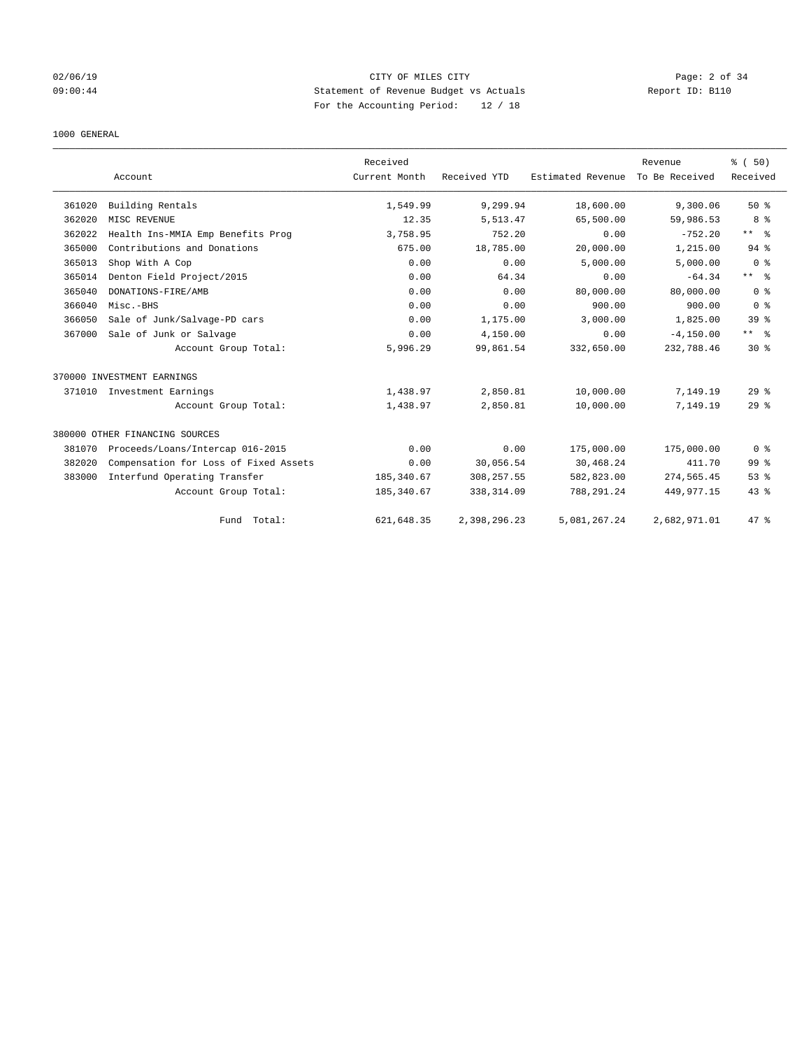## 02/06/19 CITY OF MILES CITY Page: 2 of 34 09:00:44 Statement of Revenue Budget vs Actuals Report ID: B110 For the Accounting Period: 12 / 18

#### 1000 GENERAL

|        |                                       | Received      |              |                   | Revenue        | % (50)          |
|--------|---------------------------------------|---------------|--------------|-------------------|----------------|-----------------|
|        | Account                               | Current Month | Received YTD | Estimated Revenue | To Be Received | Received        |
| 361020 | Building Rentals                      | 1,549.99      | 9,299.94     | 18,600.00         | 9,300.06       | $50*$           |
| 362020 | MISC REVENUE                          | 12.35         | 5,513.47     | 65,500.00         | 59,986.53      | 8 %             |
| 362022 | Health Ins-MMIA Emp Benefits Prog     | 3,758.95      | 752.20       | 0.00              | $-752.20$      | $***$ $ -$      |
| 365000 | Contributions and Donations           | 675.00        | 18,785.00    | 20,000.00         | 1,215.00       | 94 %            |
| 365013 | Shop With A Cop                       | 0.00          | 0.00         | 5,000.00          | 5,000.00       | 0 <sup>8</sup>  |
| 365014 | Denton Field Project/2015             | 0.00          | 64.34        | 0.00              | $-64.34$       | $***$ $ -$      |
| 365040 | DONATIONS-FIRE/AMB                    | 0.00          | 0.00         | 80,000.00         | 80,000.00      | 0 <sup>8</sup>  |
| 366040 | Misc.-BHS                             | 0.00          | 0.00         | 900.00            | 900.00         | 0 <sup>8</sup>  |
| 366050 | Sale of Junk/Salvage-PD cars          | 0.00          | 1,175.00     | 3,000.00          | 1,825.00       | 39 <sup>8</sup> |
| 367000 | Sale of Junk or Salvage               | 0.00          | 4,150.00     | 0.00              | $-4, 150.00$   | $***$ $%$       |
|        | Account Group Total:                  | 5,996.29      | 99,861.54    | 332,650.00        | 232,788.46     | $30*$           |
|        | 370000 INVESTMENT EARNINGS            |               |              |                   |                |                 |
| 371010 | Investment Earnings                   | 1,438.97      | 2,850.81     | 10,000.00         | 7,149.19       | 29%             |
|        | Account Group Total:                  | 1,438.97      | 2,850.81     | 10,000.00         | 7,149.19       | 29%             |
|        | 380000 OTHER FINANCING SOURCES        |               |              |                   |                |                 |
| 381070 | Proceeds/Loans/Intercap 016-2015      | 0.00          | 0.00         | 175,000.00        | 175,000.00     | 0 <sup>8</sup>  |
| 382020 | Compensation for Loss of Fixed Assets | 0.00          | 30,056.54    | 30,468.24         | 411.70         | 99 %            |
| 383000 | Interfund Operating Transfer          | 185, 340.67   | 308, 257.55  | 582,823.00        | 274,565.45     | 53%             |
|        | Account Group Total:                  | 185, 340.67   | 338, 314.09  | 788, 291.24       | 449, 977. 15   | $43$ %          |
|        | Fund Total:                           | 621, 648.35   | 2,398,296.23 | 5,081,267.24      | 2,682,971.01   | 47 %            |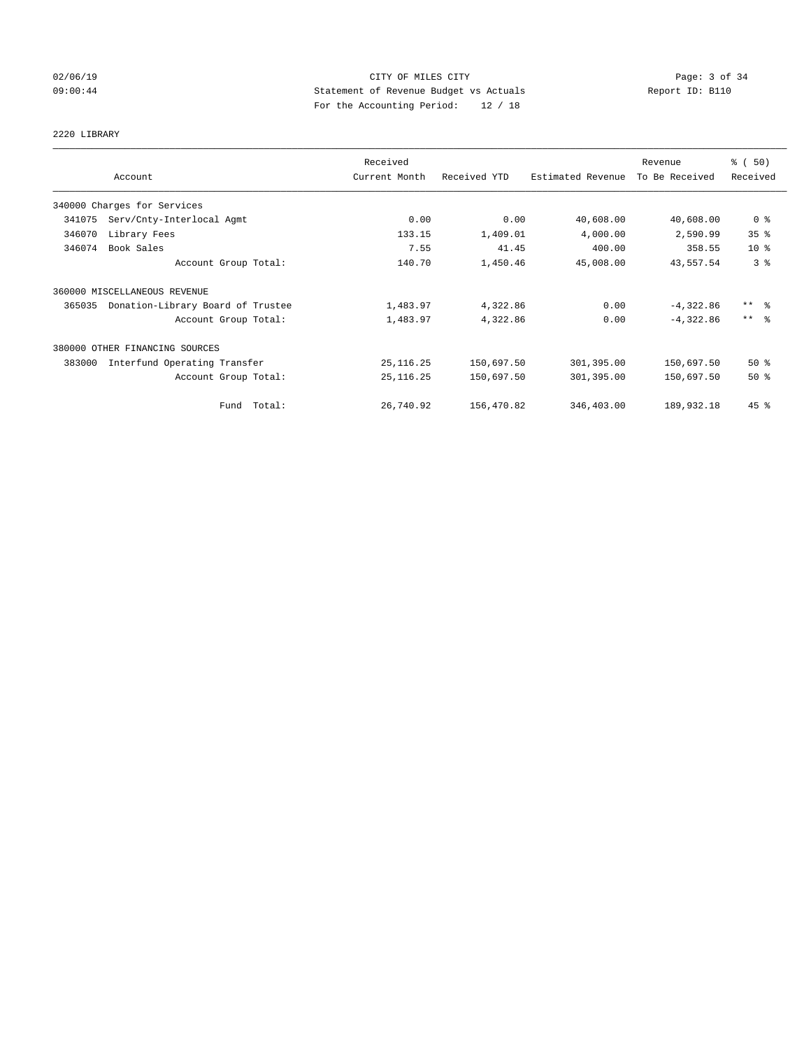## 02/06/19 CITY OF MILES CITY Page: 3 of 34 09:00:44 Statement of Revenue Budget vs Actuals Report ID: B110 For the Accounting Period: 12 / 18

# 2220 LIBRARY

|        |                                   | Received      |              |                   | Revenue        | % (50)                  |
|--------|-----------------------------------|---------------|--------------|-------------------|----------------|-------------------------|
|        | Account                           | Current Month | Received YTD | Estimated Revenue | To Be Received | Received                |
|        | 340000 Charges for Services       |               |              |                   |                |                         |
| 341075 | Serv/Cnty-Interlocal Agmt         | 0.00          | 0.00         | 40,608.00         | 40,608.00      | 0 <sup>8</sup>          |
| 346070 | Library Fees                      | 133.15        | 1,409.01     | 4,000.00          | 2,590.99       | 35%                     |
| 346074 | Book Sales                        | 7.55          | 41.45        | 400.00            | 358.55         | $10*$                   |
|        | Account Group Total:              | 140.70        | 1,450.46     | 45,008.00         | 43,557.54      | 3 <sup>°</sup>          |
|        | 360000 MISCELLANEOUS REVENUE      |               |              |                   |                |                         |
| 365035 | Donation-Library Board of Trustee | 1,483.97      | 4,322.86     | 0.00              | $-4,322.86$    | $***$ $=$ $\frac{6}{5}$ |
|        | Account Group Total:              | 1,483.97      | 4,322.86     | 0.00              | $-4,322.86$    | $***$ $\approx$         |
|        | 380000 OTHER FINANCING SOURCES    |               |              |                   |                |                         |
| 383000 | Interfund Operating Transfer      | 25, 116.25    | 150,697.50   | 301,395.00        | 150,697.50     | $50*$                   |
|        | Account Group Total:              | 25, 116.25    | 150,697.50   | 301,395.00        | 150,697.50     | $50*$                   |
|        | Fund Total:                       | 26,740.92     | 156,470.82   | 346,403.00        | 189,932.18     | 45 %                    |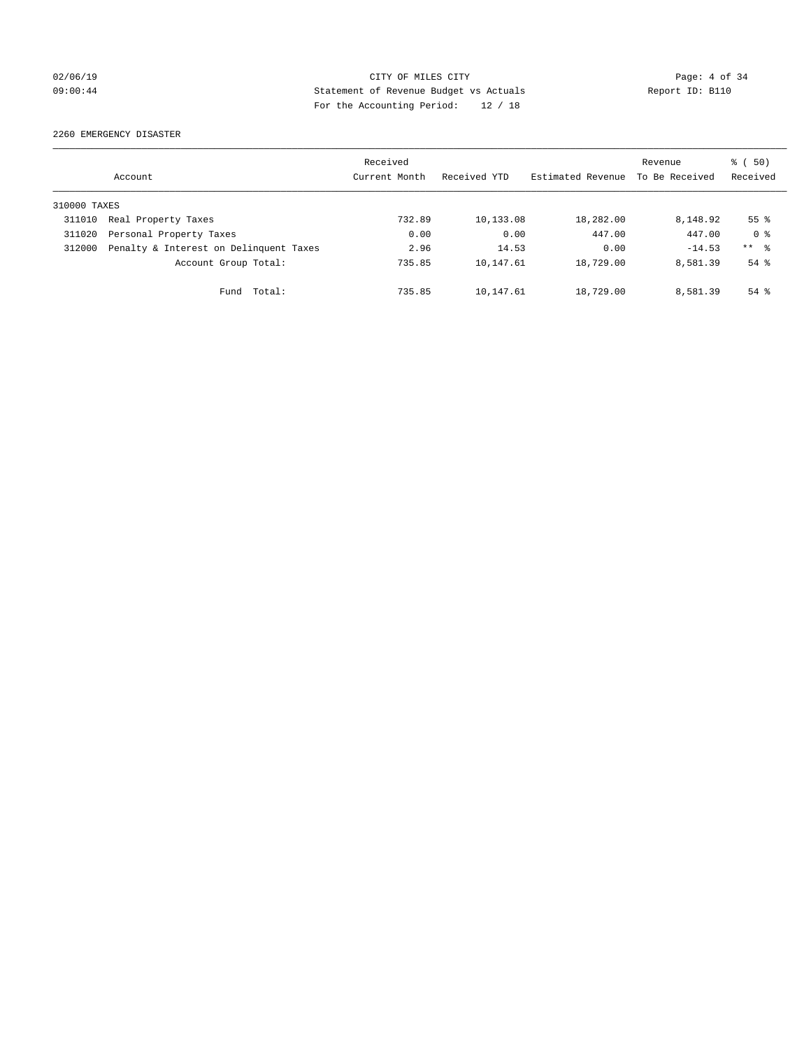## 02/06/19 CITY OF MILES CITY Page: 4 of 34 09:00:44 Statement of Revenue Budget vs Actuals Report ID: B110 For the Accounting Period: 12 / 18

2260 EMERGENCY DISASTER

|              | Account                                | Received<br>Current Month | Received YTD | Estimated Revenue | Revenue<br>To Be Received | 8 ( 50)<br>Received |
|--------------|----------------------------------------|---------------------------|--------------|-------------------|---------------------------|---------------------|
| 310000 TAXES |                                        |                           |              |                   |                           |                     |
| 311010       | Real Property Taxes                    | 732.89                    | 10,133.08    | 18,282.00         | 8,148.92                  | 55 <sup>°</sup>     |
| 311020       | Personal Property Taxes                | 0.00                      | 0.00         | 447.00            | 447.00                    | 0 <sup>8</sup>      |
| 312000       | Penalty & Interest on Delinquent Taxes | 2.96                      | 14.53        | 0.00              | $-14.53$                  | $***$ %             |
|              | Account Group Total:                   | 735.85                    | 10,147.61    | 18,729.00         | 8,581.39                  | $54$ $\frac{6}{3}$  |
|              | Total:<br>Fund                         | 735.85                    | 10,147.61    | 18,729.00         | 8,581.39                  | $54$ $%$            |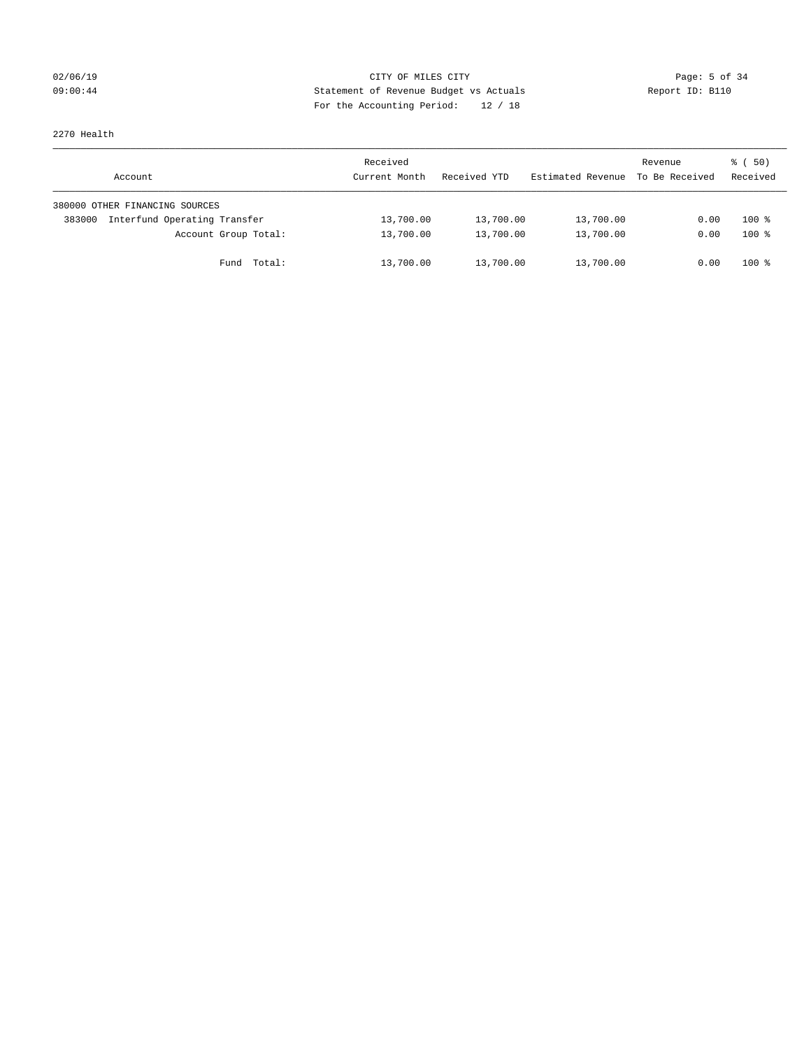## 02/06/19 CITY OF MILES CITY Page: 5 of 34 09:00:44 Statement of Revenue Budget vs Actuals Report ID: B110 For the Accounting Period: 12 / 18

2270 Health

| Account                                | Received<br>Current Month | Received YTD | Estimated Revenue | Revenue<br>To Be Received | 8 ( 50)<br>Received |
|----------------------------------------|---------------------------|--------------|-------------------|---------------------------|---------------------|
| 380000 OTHER FINANCING SOURCES         |                           |              |                   |                           |                     |
| Interfund Operating Transfer<br>383000 | 13,700.00                 | 13,700.00    | 13,700.00         | 0.00                      | $100*$              |
| Account Group Total:                   | 13,700.00                 | 13,700.00    | 13,700.00         | 0.00                      | $100*$              |
| Total:<br>Fund                         | 13,700.00                 | 13,700.00    | 13,700.00         | 0.00                      | $100*$              |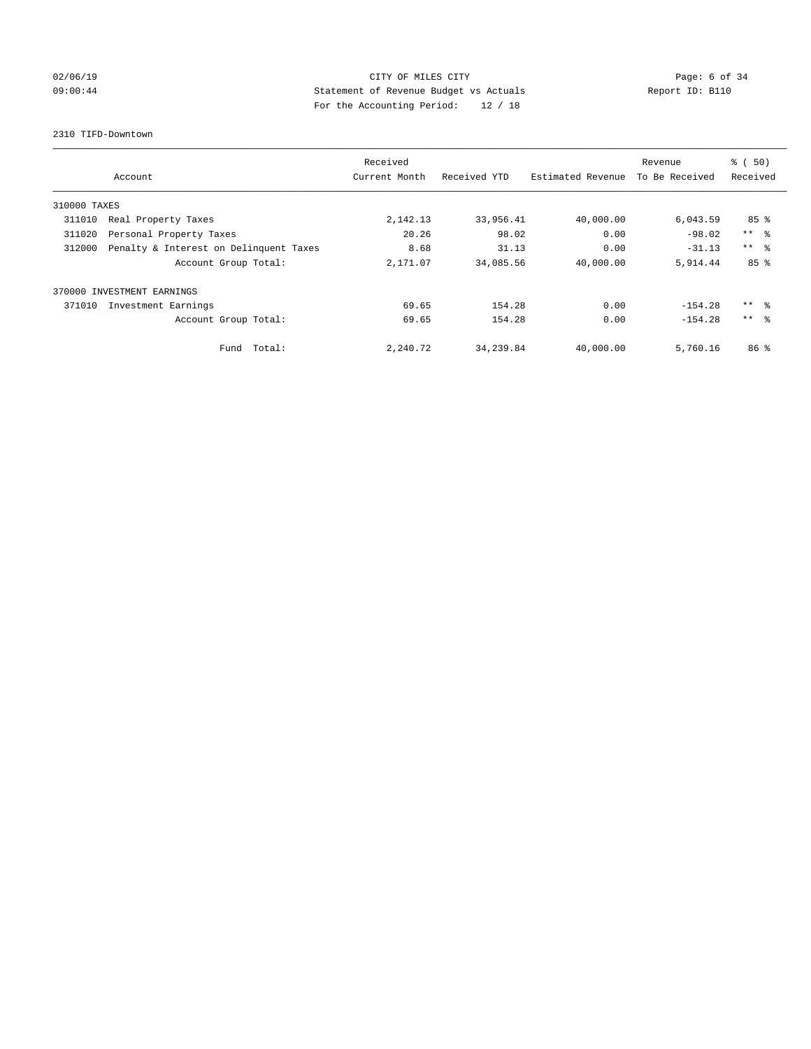## 02/06/19 CITY OF MILES CITY Page: 6 of 34 09:00:44 Statement of Revenue Budget vs Actuals Report ID: B110 For the Accounting Period: 12 / 18

#### 2310 TIFD-Downtown

|              |                                        | Received      |              |                   | Revenue        | % (50)          |
|--------------|----------------------------------------|---------------|--------------|-------------------|----------------|-----------------|
|              | Account                                | Current Month | Received YTD | Estimated Revenue | To Be Received | Received        |
| 310000 TAXES |                                        |               |              |                   |                |                 |
| 311010       | Real Property Taxes                    | 2,142.13      | 33,956.41    | 40,000.00         | 6,043.59       | 85 <sup>8</sup> |
| 311020       | Personal Property Taxes                | 20.26         | 98.02        | 0.00              | $-98.02$       | $***$ $ -$      |
| 312000       | Penalty & Interest on Delinquent Taxes | 8.68          | 31.13        | 0.00              | $-31.13$       | $***$ $\approx$ |
|              | Account Group Total:                   | 2,171.07      | 34,085.56    | 40,000.00         | 5,914.44       | 85%             |
|              | 370000 INVESTMENT EARNINGS             |               |              |                   |                |                 |
| 371010       | Investment Earnings                    | 69.65         | 154.28       | 0.00              | $-154.28$      | ** 왕            |
|              | Account Group Total:                   | 69.65         | 154.28       | 0.00              | $-154.28$      | $***$ $\approx$ |
|              | Total:<br>Fund                         | 2,240.72      | 34, 239.84   | 40,000.00         | 5,760.16       | 86 <sup>8</sup> |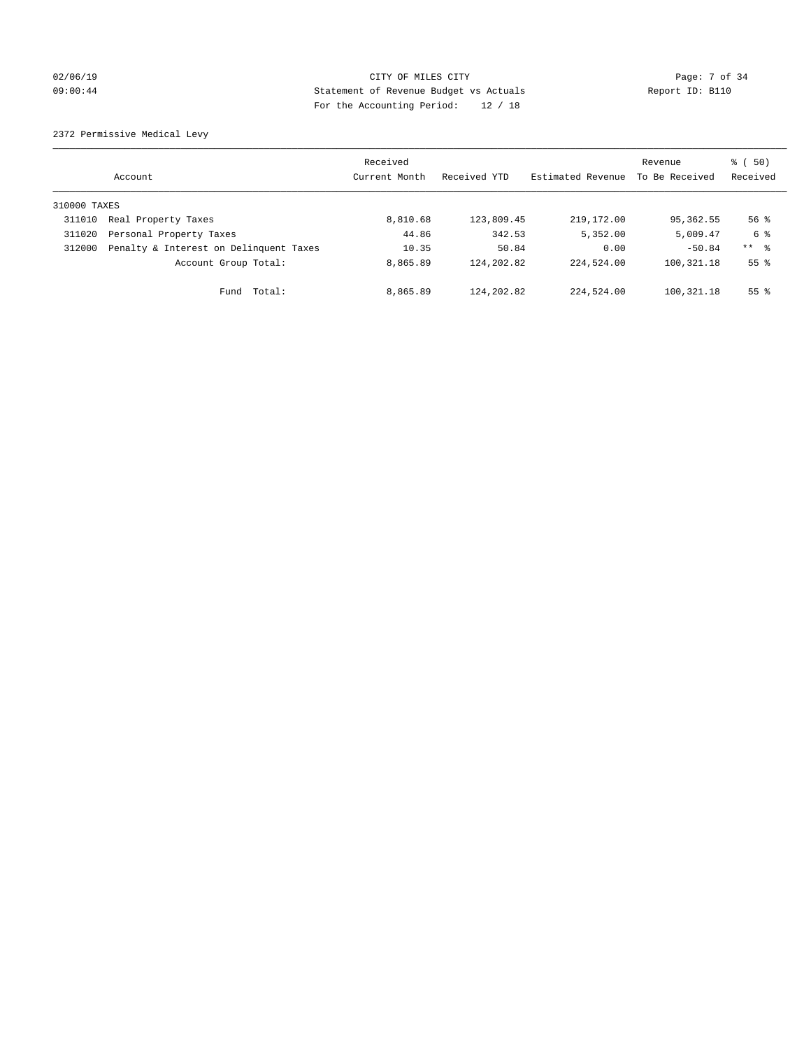## 02/06/19 Page: 7 of 34 09:00:44 Statement of Revenue Budget vs Actuals Report ID: B110 For the Accounting Period: 12 / 18

2372 Permissive Medical Levy

|              | Account                                | Received<br>Current Month | Received YTD | Estimated Revenue | Revenue<br>To Be Received | $\frac{1}{6}$ (50)<br>Received |
|--------------|----------------------------------------|---------------------------|--------------|-------------------|---------------------------|--------------------------------|
| 310000 TAXES |                                        |                           |              |                   |                           |                                |
| 311010       | Real Property Taxes                    | 8,810.68                  | 123,809.45   | 219,172.00        | 95,362.55                 | $56$ $\frac{6}{3}$             |
| 311020       | Personal Property Taxes                | 44.86                     | 342.53       | 5,352.00          | 5,009.47                  | 6 %                            |
| 312000       | Penalty & Interest on Delinquent Taxes | 10.35                     | 50.84        | 0.00              | $-50.84$                  | ** 8                           |
|              | Account Group Total:                   | 8,865.89                  | 124, 202.82  | 224,524.00        | 100, 321. 18              | 55 <sup>°</sup>                |
|              | Fund Total:                            | 8,865.89                  | 124, 202.82  | 224,524.00        | 100,321.18                | 55 <sup>°</sup>                |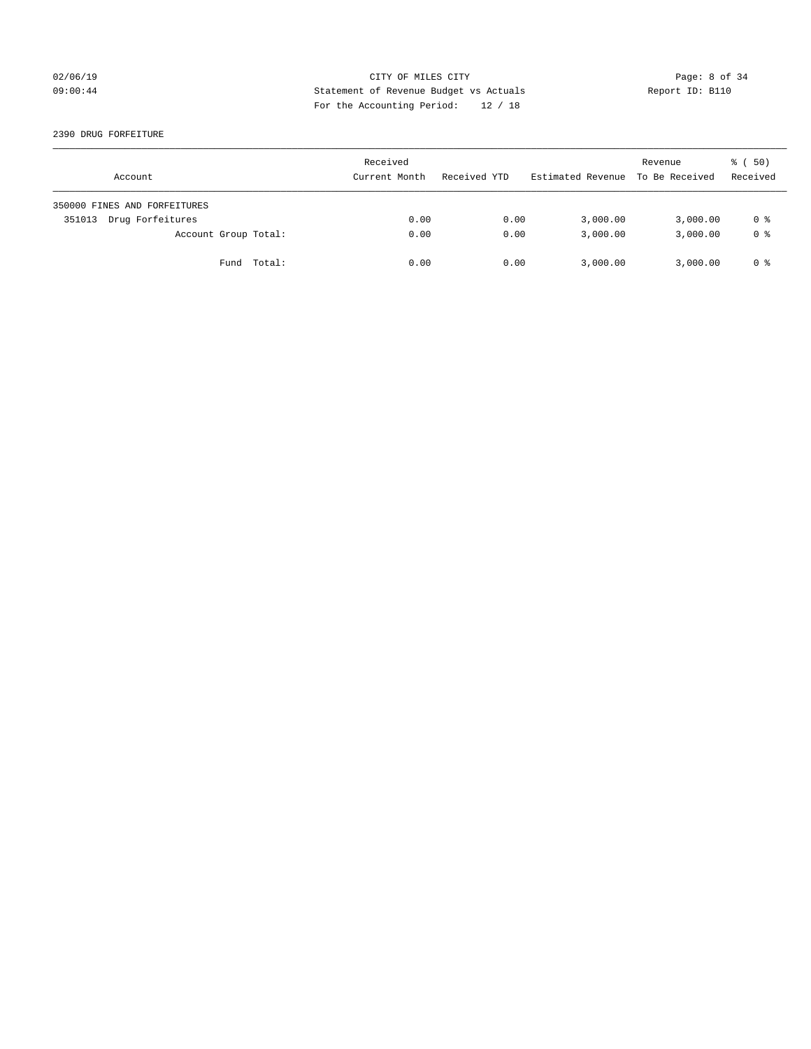## 02/06/19 CITY OF MILES CITY Page: 8 of 34 09:00:44 Statement of Revenue Budget vs Actuals Report ID: B110 For the Accounting Period: 12 / 18

2390 DRUG FORFEITURE

| Account                      | Received<br>Current Month | Received YTD | Estimated Revenue To Be Received | Revenue  | 8 ( 50)<br>Received |
|------------------------------|---------------------------|--------------|----------------------------------|----------|---------------------|
| 350000 FINES AND FORFEITURES |                           |              |                                  |          |                     |
| Drug Forfeitures<br>351013   | 0.00                      | 0.00         | 3,000.00                         | 3,000.00 | 0 %                 |
| Account Group Total:         | 0.00                      | 0.00         | 3,000.00                         | 3,000.00 | 0 <sup>8</sup>      |
| Fund Total:                  | 0.00                      | 0.00         | 3,000.00                         | 3,000.00 | 0 %                 |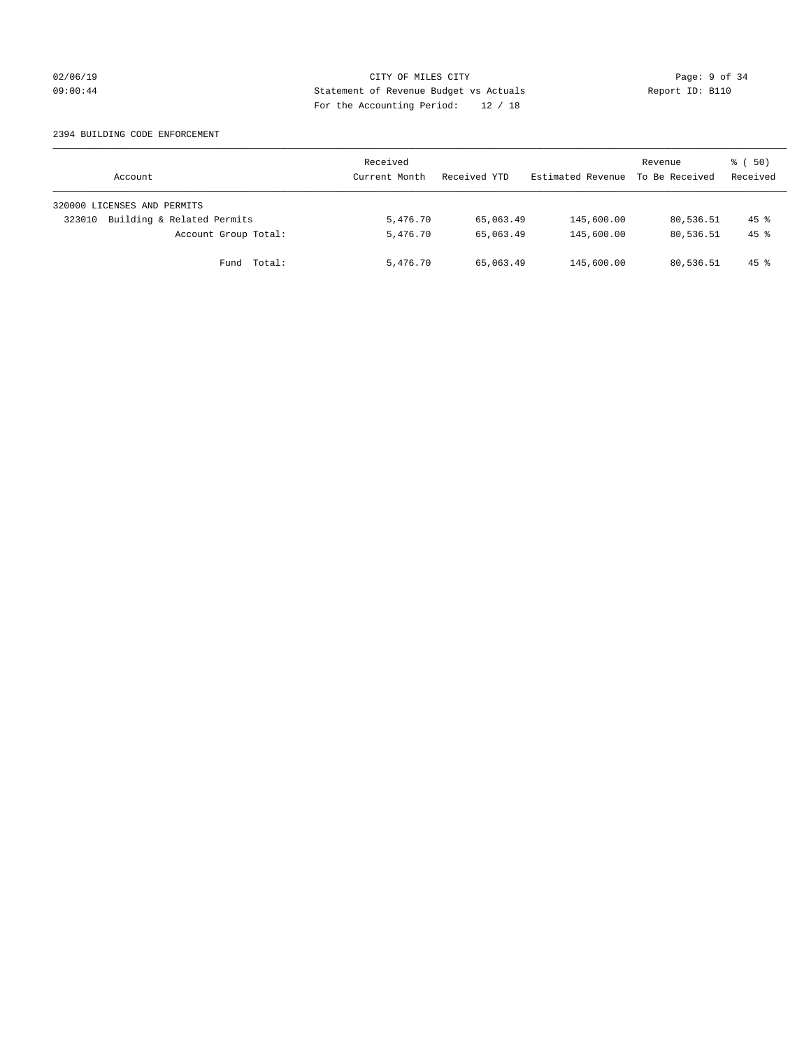## 02/06/19 CITY OF MILES CITY Page: 9 of 34 09:00:44 Statement of Revenue Budget vs Actuals Report ID: B110 For the Accounting Period: 12 / 18

#### 2394 BUILDING CODE ENFORCEMENT

| Account                              | Received<br>Current Month | Received YTD | Estimated Revenue | Revenue<br>To Be Received | $\frac{1}{6}$ (50)<br>Received |
|--------------------------------------|---------------------------|--------------|-------------------|---------------------------|--------------------------------|
| 320000 LICENSES AND PERMITS          |                           |              |                   |                           |                                |
| Building & Related Permits<br>323010 | 5,476.70                  | 65,063.49    | 145,600.00        | 80,536.51                 | $45$ $\frac{6}{3}$             |
| Account Group Total:                 | 5,476.70                  | 65,063.49    | 145,600.00        | 80,536.51                 | $45*$                          |
| Fund Total:                          | 5,476.70                  | 65,063.49    | 145,600.00        | 80,536.51                 | $45$ $\frac{6}{3}$             |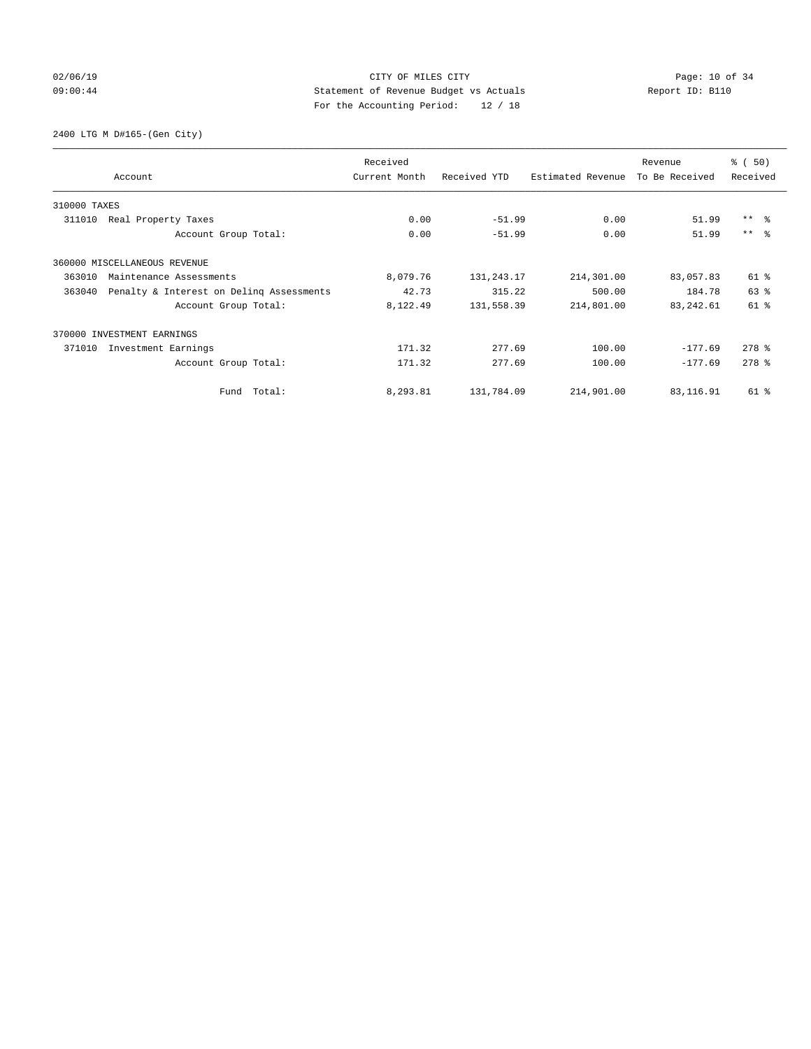## 02/06/19 Page: 10 of 34 09:00:44 Statement of Revenue Budget vs Actuals Report ID: B110 For the Accounting Period: 12 / 18

2400 LTG M D#165-(Gen City)

|              | Account                                  | Received<br>Current Month | Received YTD | Estimated Revenue | Revenue<br>To Be Received | % (50)<br>Received  |
|--------------|------------------------------------------|---------------------------|--------------|-------------------|---------------------------|---------------------|
| 310000 TAXES |                                          |                           |              |                   |                           |                     |
| 311010       | Real Property Taxes                      | 0.00                      | $-51.99$     | 0.00              | 51.99                     | $***$ $ -$          |
|              | Account Group Total:                     | 0.00                      | $-51.99$     | 0.00              | 51.99                     | $***$ $ -$          |
|              | 360000 MISCELLANEOUS REVENUE             |                           |              |                   |                           |                     |
| 363010       | Maintenance Assessments                  | 8,079.76                  | 131, 243. 17 | 214,301.00        | 83,057.83                 | 61 %                |
| 363040       | Penalty & Interest on Deling Assessments | 42.73                     | 315.22       | 500.00            | 184.78                    | 63%                 |
|              | Account Group Total:                     | 8,122.49                  | 131,558.39   | 214,801.00        | 83, 242.61                | $61$ $%$            |
|              | 370000 INVESTMENT EARNINGS               |                           |              |                   |                           |                     |
| 371010       | Investment Earnings                      | 171.32                    | 277.69       | 100.00            | $-177.69$                 | $278$ $%$           |
|              | Account Group Total:                     | 171.32                    | 277.69       | 100.00            | $-177.69$                 | $278$ $\frac{6}{5}$ |
|              | Total:<br>Fund                           | 8,293.81                  | 131,784.09   | 214,901.00        | 83, 116.91                | 61 %                |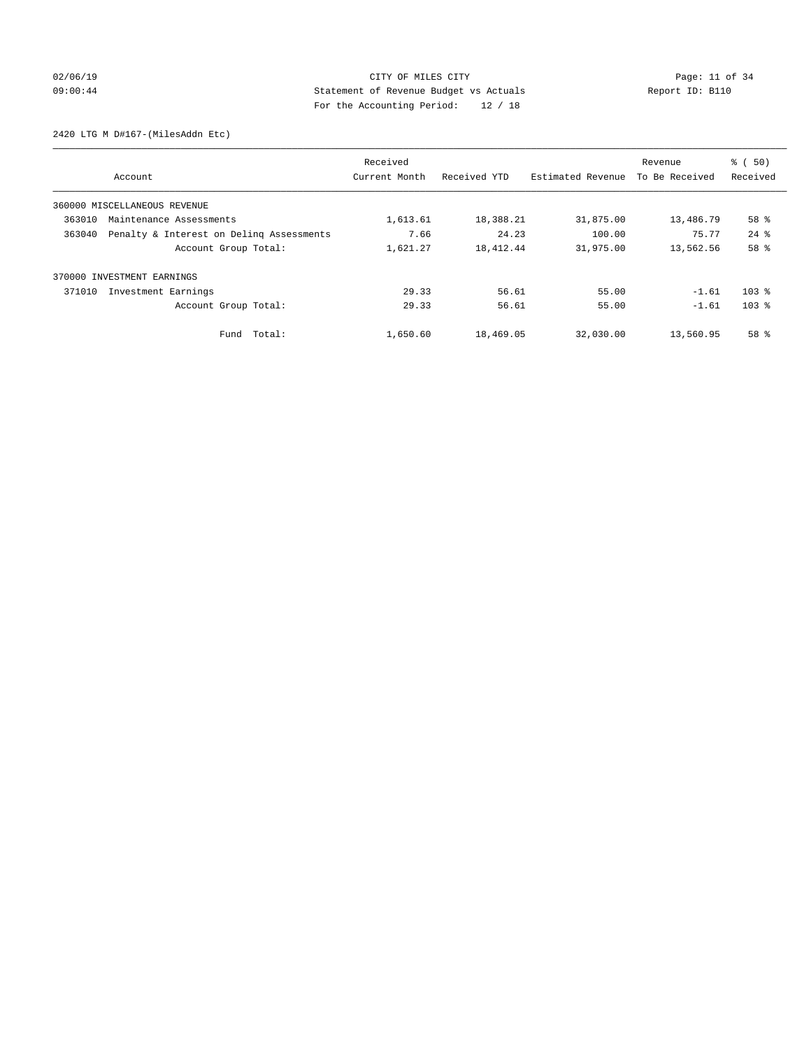## 02/06/19 Page: 11 of 34 09:00:44 Statement of Revenue Budget vs Actuals Report ID: B110 For the Accounting Period: 12 / 18

2420 LTG M D#167-(MilesAddn Etc)

|        |                                          | Received      |              |                   | Revenue        | $\frac{1}{6}$ (50) |
|--------|------------------------------------------|---------------|--------------|-------------------|----------------|--------------------|
|        | Account                                  | Current Month | Received YTD | Estimated Revenue | To Be Received | Received           |
|        | 360000 MISCELLANEOUS REVENUE             |               |              |                   |                |                    |
| 363010 | Maintenance Assessments                  | 1,613.61      | 18,388.21    | 31,875.00         | 13,486.79      | 58 %               |
| 363040 | Penalty & Interest on Deling Assessments | 7.66          | 24.23        | 100.00            | 75.77          | $24$ $%$           |
|        | Account Group Total:                     | 1,621.27      | 18,412.44    | 31,975.00         | 13,562.56      | 58 %               |
| 370000 | INVESTMENT EARNINGS                      |               |              |                   |                |                    |
| 371010 | Investment Earnings                      | 29.33         | 56.61        | 55.00             | $-1.61$        | 103 <sup>8</sup>   |
|        | Account Group Total:                     | 29.33         | 56.61        | 55.00             | $-1.61$        | 103 <sup>8</sup>   |
|        | Fund Total:                              | 1,650.60      | 18,469.05    | 32,030.00         | 13,560.95      | 58 %               |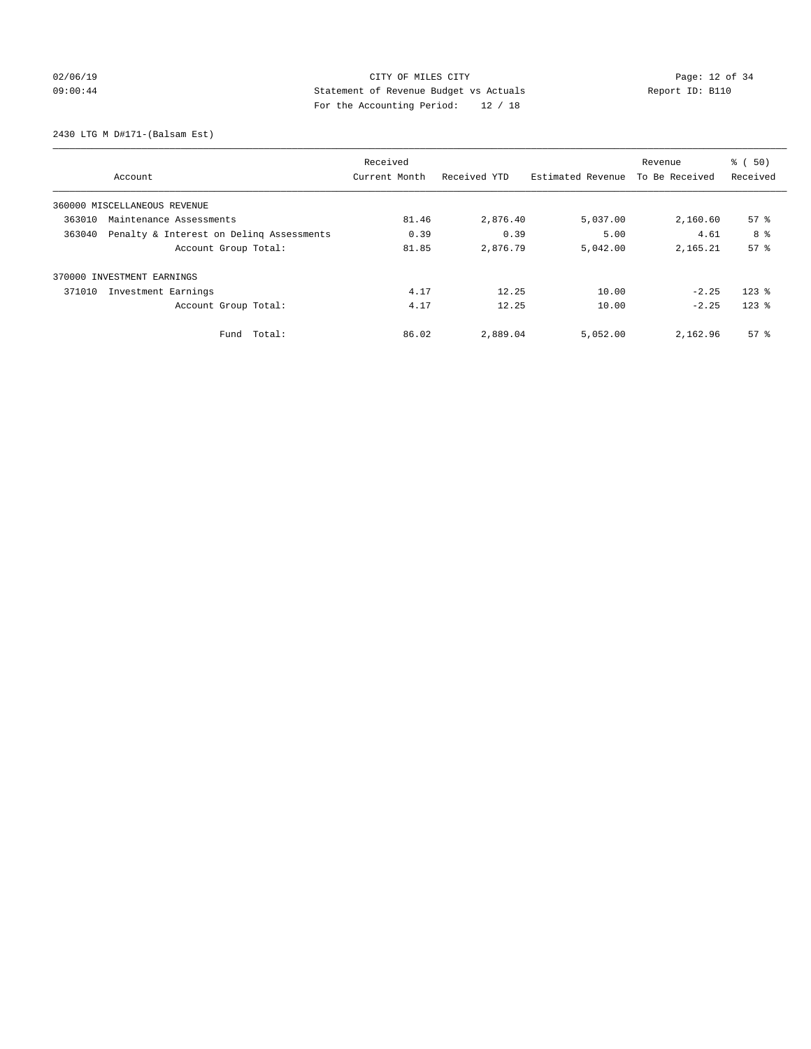## 02/06/19 Page: 12 of 34 09:00:44 Statement of Revenue Budget vs Actuals Report ID: B110 For the Accounting Period: 12 / 18

2430 LTG M D#171-(Balsam Est)

|        |                                          | Received      |              |                   | Revenue        | $\frac{1}{6}$ (50) |
|--------|------------------------------------------|---------------|--------------|-------------------|----------------|--------------------|
|        | Account                                  | Current Month | Received YTD | Estimated Revenue | To Be Received | Received           |
|        | 360000 MISCELLANEOUS REVENUE             |               |              |                   |                |                    |
| 363010 | Maintenance Assessments                  | 81.46         | 2,876.40     | 5,037.00          | 2,160.60       | 57 <sup>8</sup>    |
| 363040 | Penalty & Interest on Delinq Assessments | 0.39          | 0.39         | 5.00              | 4.61           | 8 %                |
|        | Account Group Total:                     | 81.85         | 2,876.79     | 5,042.00          | 2,165.21       | 57 <sup>8</sup>    |
|        | 370000 INVESTMENT EARNINGS               |               |              |                   |                |                    |
| 371010 | Investment Earnings                      | 4.17          | 12.25        | 10.00             | $-2.25$        | $123$ $%$          |
|        | Account Group Total:                     | 4.17          | 12.25        | 10.00             | $-2.25$        | $123$ $%$          |
|        | Total:<br>Fund                           | 86.02         | 2,889.04     | 5,052.00          | 2,162.96       | 57 <sup>8</sup>    |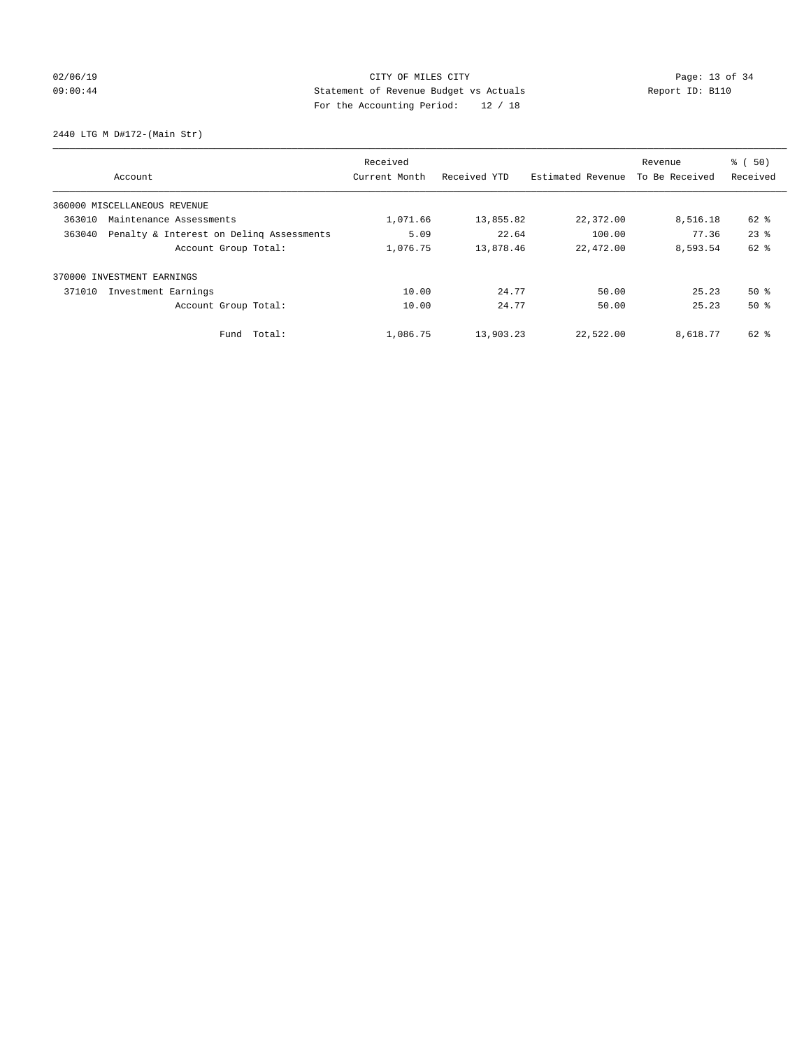## 02/06/19 Page: 13 of 34 09:00:44 Statement of Revenue Budget vs Actuals Report ID: B110 For the Accounting Period: 12 / 18

2440 LTG M D#172-(Main Str)

|        |                                          | Received      |              |                   | Revenue        | $\frac{1}{6}$ (50) |
|--------|------------------------------------------|---------------|--------------|-------------------|----------------|--------------------|
|        | Account                                  | Current Month | Received YTD | Estimated Revenue | To Be Received | Received           |
|        | 360000 MISCELLANEOUS REVENUE             |               |              |                   |                |                    |
| 363010 | Maintenance Assessments                  | 1,071.66      | 13,855.82    | 22,372.00         | 8,516.18       | 62 %               |
| 363040 | Penalty & Interest on Deling Assessments | 5.09          | 22.64        | 100.00            | 77.36          | $23$ $%$           |
|        | Account Group Total:                     | 1,076.75      | 13,878.46    | 22,472.00         | 8,593.54       | 62 %               |
| 370000 | INVESTMENT EARNINGS                      |               |              |                   |                |                    |
| 371010 | Investment Earnings                      | 10.00         | 24.77        | 50.00             | 25.23          | $50*$              |
|        | Account Group Total:                     | 10.00         | 24.77        | 50.00             | 25.23          | 50%                |
|        | Fund Total:                              | 1,086.75      | 13,903.23    | 22,522.00         | 8,618.77       | 62 %               |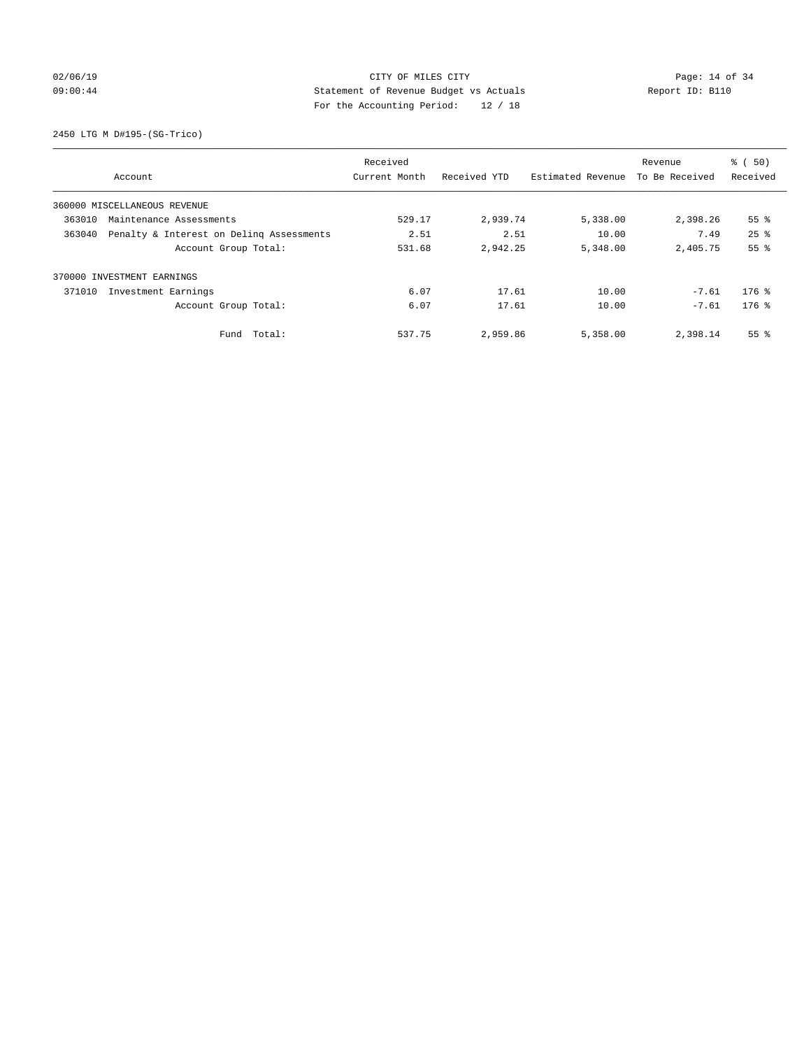## 02/06/19 Page: 14 of 34 09:00:44 Statement of Revenue Budget vs Actuals Report ID: B110 For the Accounting Period: 12 / 18

2450 LTG M D#195-(SG-Trico)

|        |                                          | Received      |              |                   | Revenue        | % (50)          |
|--------|------------------------------------------|---------------|--------------|-------------------|----------------|-----------------|
|        | Account                                  | Current Month | Received YTD | Estimated Revenue | To Be Received | Received        |
|        | 360000 MISCELLANEOUS REVENUE             |               |              |                   |                |                 |
| 363010 | Maintenance Assessments                  | 529.17        | 2,939.74     | 5,338.00          | 2,398.26       | 55 <sup>8</sup> |
| 363040 | Penalty & Interest on Deling Assessments | 2.51          | 2.51         | 10.00             | 7.49           | $25$ $%$        |
|        | Account Group Total:                     | 531.68        | 2,942.25     | 5,348.00          | 2,405.75       | 55%             |
|        | 370000 INVESTMENT EARNINGS               |               |              |                   |                |                 |
| 371010 | Investment Earnings                      | 6.07          | 17.61        | 10.00             | $-7.61$        | $176$ %         |
|        | Account Group Total:                     | 6.07          | 17.61        | 10.00             | $-7.61$        | $176$ %         |
|        | Fund Total:                              | 537.75        | 2,959.86     | 5,358.00          | 2,398.14       | 55 <sup>8</sup> |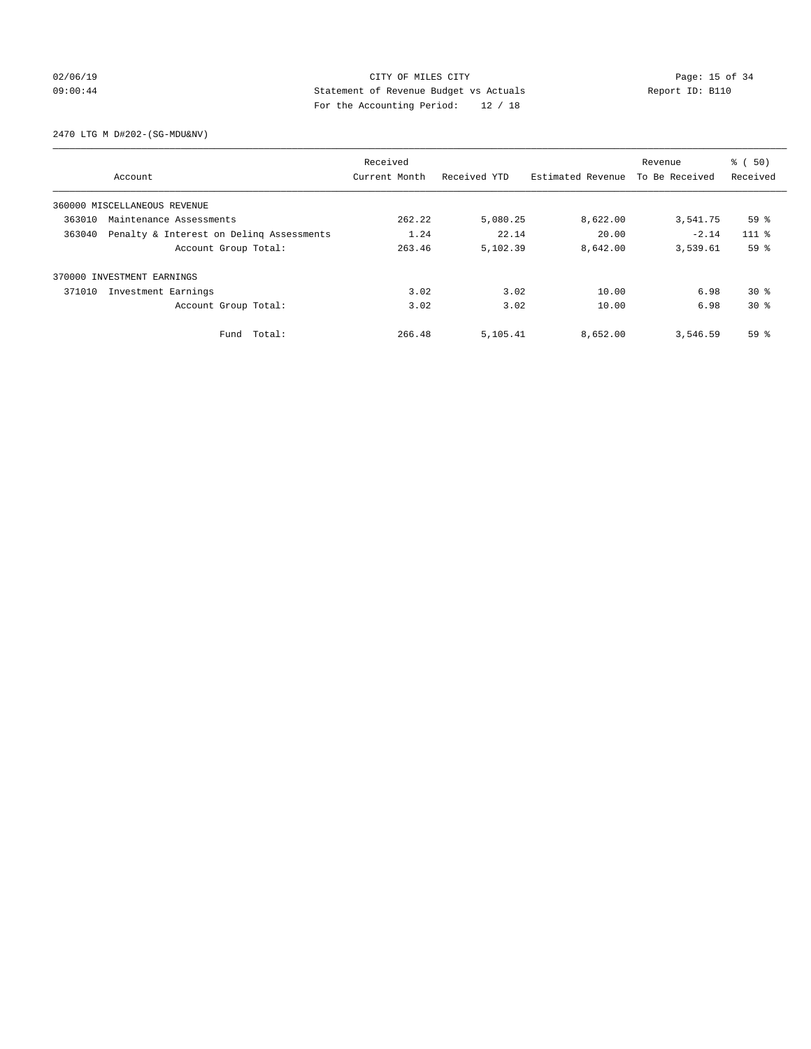## 02/06/19 Page: 15 of 34 09:00:44 Statement of Revenue Budget vs Actuals Report ID: B110 For the Accounting Period: 12 / 18

2470 LTG M D#202-(SG-MDU&NV)

|        |                                          | Received      |              |                   | Revenue        | $\frac{1}{6}$ (50) |
|--------|------------------------------------------|---------------|--------------|-------------------|----------------|--------------------|
|        | Account                                  | Current Month | Received YTD | Estimated Revenue | To Be Received | Received           |
|        | 360000 MISCELLANEOUS REVENUE             |               |              |                   |                |                    |
| 363010 | Maintenance Assessments                  | 262.22        | 5,080.25     | 8,622.00          | 3,541.75       | 59%                |
| 363040 | Penalty & Interest on Deling Assessments | 1.24          | 22.14        | 20.00             | $-2.14$        | $111*$             |
|        | Account Group Total:                     | 263.46        | 5,102.39     | 8,642.00          | 3,539.61       | 59%                |
|        | 370000 INVESTMENT EARNINGS               |               |              |                   |                |                    |
| 371010 | Investment Earnings                      | 3.02          | 3.02         | 10.00             | 6.98           | $30*$              |
|        | Account Group Total:                     | 3.02          | 3.02         | 10.00             | 6.98           | $30*$              |
|        | Total:<br>Fund                           | 266.48        | 5,105.41     | 8,652.00          | 3,546.59       | 59%                |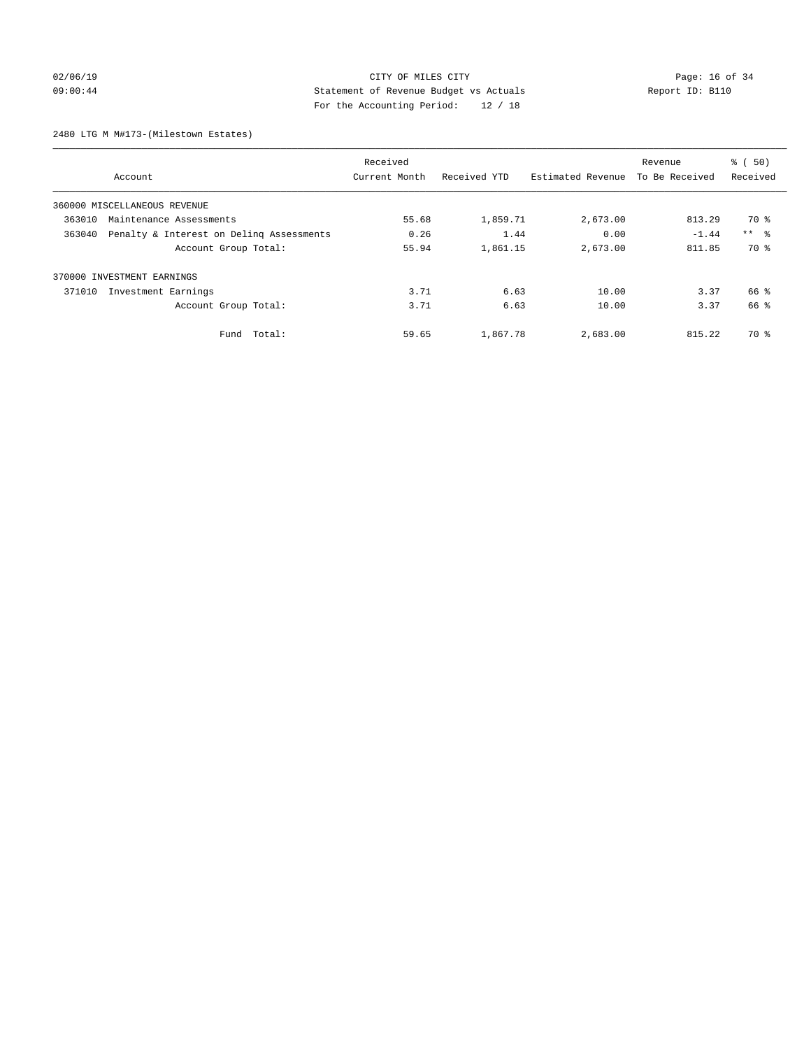## $O2/06/19$  Page: 16 of 34 09:00:44 Statement of Revenue Budget vs Actuals Report ID: B110 For the Accounting Period: 12 / 18

2480 LTG M M#173-(Milestown Estates)

|        |                                          | Received      |              |                   | Revenue        | $\frac{1}{6}$ (50) |
|--------|------------------------------------------|---------------|--------------|-------------------|----------------|--------------------|
|        | Account                                  | Current Month | Received YTD | Estimated Revenue | To Be Received | Received           |
|        | 360000 MISCELLANEOUS REVENUE             |               |              |                   |                |                    |
| 363010 | Maintenance Assessments                  | 55.68         | 1,859.71     | 2,673.00          | 813.29         | 70 %               |
| 363040 | Penalty & Interest on Deling Assessments | 0.26          | 1.44         | 0.00              | $-1.44$        | $***$ $ -$         |
|        | Account Group Total:                     | 55.94         | 1,861.15     | 2,673.00          | 811.85         | 70 %               |
|        | 370000 INVESTMENT EARNINGS               |               |              |                   |                |                    |
| 371010 | Investment Earnings                      | 3.71          | 6.63         | 10.00             | 3.37           | 66 %               |
|        | Account Group Total:                     | 3.71          | 6.63         | 10.00             | 3.37           | 66 %               |
|        | Total:<br>Fund                           | 59.65         | 1,867.78     | 2,683.00          | 815.22         | 70 %               |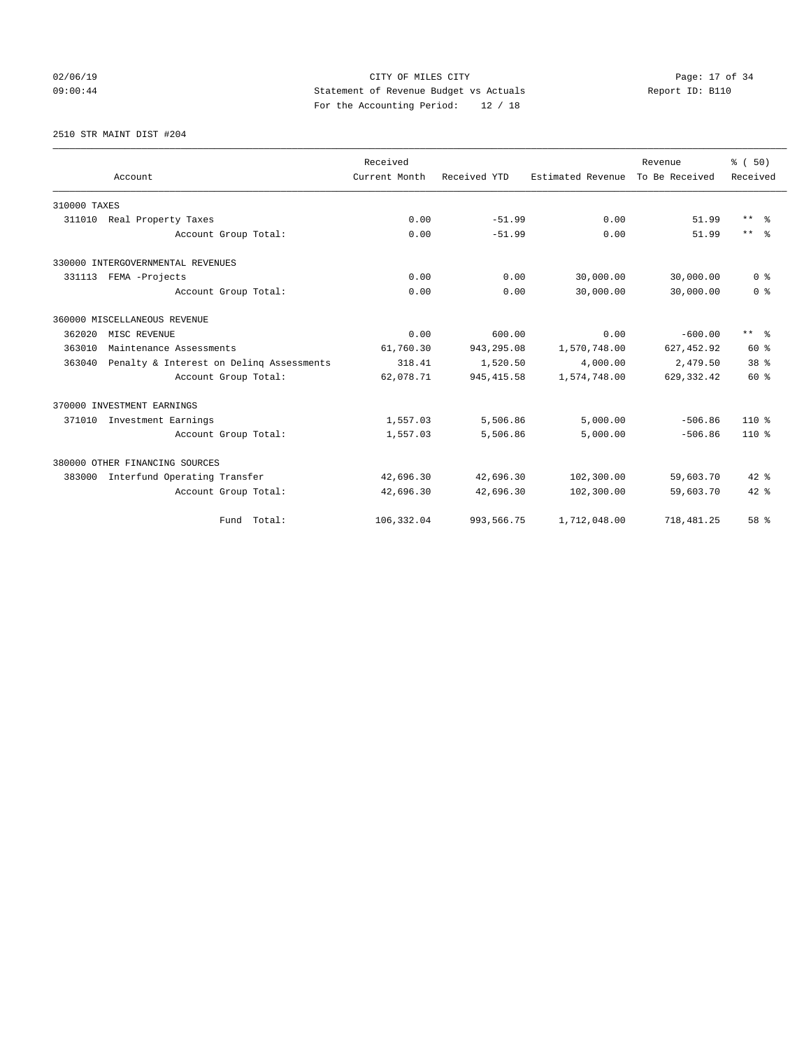## 02/06/19 Page: 17 of 34 09:00:44 Statement of Revenue Budget vs Actuals Report ID: B110 For the Accounting Period: 12 / 18

2510 STR MAINT DIST #204

|              |                                          | Received      |              |                   | Revenue        | % (50)              |
|--------------|------------------------------------------|---------------|--------------|-------------------|----------------|---------------------|
|              | Account                                  | Current Month | Received YTD | Estimated Revenue | To Be Received | Received            |
| 310000 TAXES |                                          |               |              |                   |                |                     |
|              | 311010 Real Property Taxes               | 0.00          | $-51.99$     | 0.00              | 51.99          | $***$ $\frac{6}{5}$ |
|              | Account Group Total:                     | 0.00          | $-51.99$     | 0.00              | 51.99          | $***$ $=$           |
|              | 330000 INTERGOVERNMENTAL REVENUES        |               |              |                   |                |                     |
|              | 331113 FEMA -Projects                    | 0.00          | 0.00         | 30,000.00         | 30,000.00      | 0 <sup>8</sup>      |
|              | Account Group Total:                     | 0.00          | 0.00         | 30,000.00         | 30,000.00      | 0 <sup>8</sup>      |
|              | 360000 MISCELLANEOUS REVENUE             |               |              |                   |                |                     |
| 362020       | MISC REVENUE                             | 0.00          | 600.00       | 0.00              | $-600.00$      | ** %                |
| 363010       | Maintenance Assessments                  | 61,760.30     | 943,295.08   | 1,570,748.00      | 627, 452.92    | $60*$               |
| 363040       | Penalty & Interest on Deling Assessments | 318.41        | 1,520.50     | 4,000.00          | 2,479.50       | 38 <sup>8</sup>     |
|              | Account Group Total:                     | 62,078.71     | 945, 415.58  | 1,574,748.00      | 629, 332.42    | 60 %                |
|              | 370000 INVESTMENT EARNINGS               |               |              |                   |                |                     |
| 371010       | Investment Earnings                      | 1,557.03      | 5,506.86     | 5,000.00          | $-506.86$      | $110*$              |
|              | Account Group Total:                     | 1,557.03      | 5,506.86     | 5,000.00          | $-506.86$      | 110 %               |
|              | 380000 OTHER FINANCING SOURCES           |               |              |                   |                |                     |
| 383000       | Interfund Operating Transfer             | 42,696.30     | 42,696.30    | 102,300.00        | 59,603.70      | $42*$               |
|              | Account Group Total:                     | 42,696.30     | 42,696.30    | 102,300.00        | 59,603.70      | $42*$               |
|              | Fund Total:                              | 106,332.04    | 993, 566.75  | 1,712,048.00      | 718, 481.25    | 58 %                |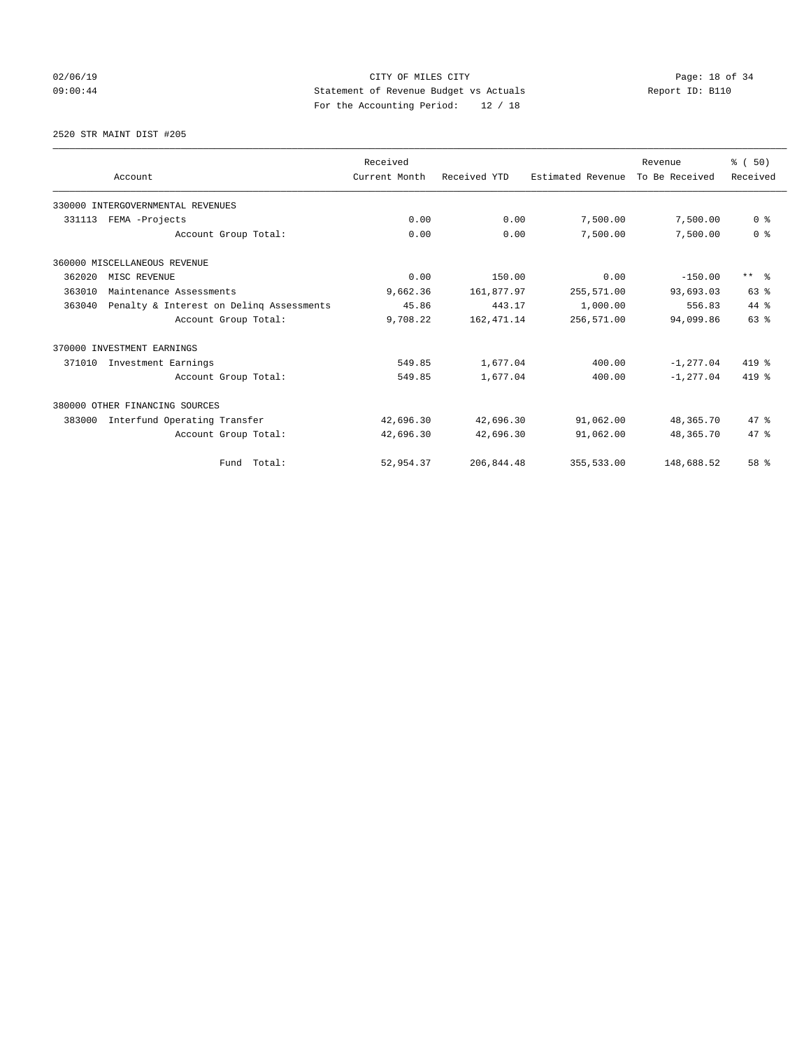## 02/06/19 Page: 18 of 34 09:00:44 Statement of Revenue Budget vs Actuals Report ID: B110 For the Accounting Period: 12 / 18

2520 STR MAINT DIST #205

|        | Account                                  | Received<br>Current Month | Received YTD | Estimated Revenue | Revenue<br>To Be Received | % (50)<br>Received      |
|--------|------------------------------------------|---------------------------|--------------|-------------------|---------------------------|-------------------------|
|        | 330000 INTERGOVERNMENTAL REVENUES        |                           |              |                   |                           |                         |
| 331113 | FEMA -Projects                           | 0.00                      | 0.00         | 7,500.00          | 7,500.00                  | 0 <sup>8</sup>          |
|        | Account Group Total:                     | 0.00                      | 0.00         | 7,500.00          | 7,500.00                  | 0 <sup>8</sup>          |
|        | 360000 MISCELLANEOUS REVENUE             |                           |              |                   |                           |                         |
| 362020 | MISC REVENUE                             | 0.00                      | 150.00       | 0.00              | $-150.00$                 | $***$ $=$ $\frac{6}{5}$ |
| 363010 | Maintenance Assessments                  | 9,662.36                  | 161,877.97   | 255,571.00        | 93,693.03                 | 63 %                    |
| 363040 | Penalty & Interest on Deling Assessments | 45.86                     | 443.17       | 1,000.00          | 556.83                    | 44 %                    |
|        | Account Group Total:                     | 9,708.22                  | 162, 471.14  | 256,571.00        | 94,099.86                 | 63%                     |
|        | 370000 INVESTMENT EARNINGS               |                           |              |                   |                           |                         |
| 371010 | Investment Earnings                      | 549.85                    | 1,677.04     | 400.00            | $-1.277.04$               | 419 %                   |
|        | Account Group Total:                     | 549.85                    | 1,677.04     | 400.00            | $-1, 277.04$              | 419 %                   |
|        | 380000 OTHER FINANCING SOURCES           |                           |              |                   |                           |                         |
| 383000 | Interfund Operating Transfer             | 42,696.30                 | 42,696.30    | 91,062.00         | 48,365.70                 | 47.8                    |
|        | Account Group Total:                     | 42,696.30                 | 42,696.30    | 91,062.00         | 48, 365. 70               | 47.8                    |
|        | Fund Total:                              | 52,954.37                 | 206,844.48   | 355,533.00        | 148,688.52                | 58 %                    |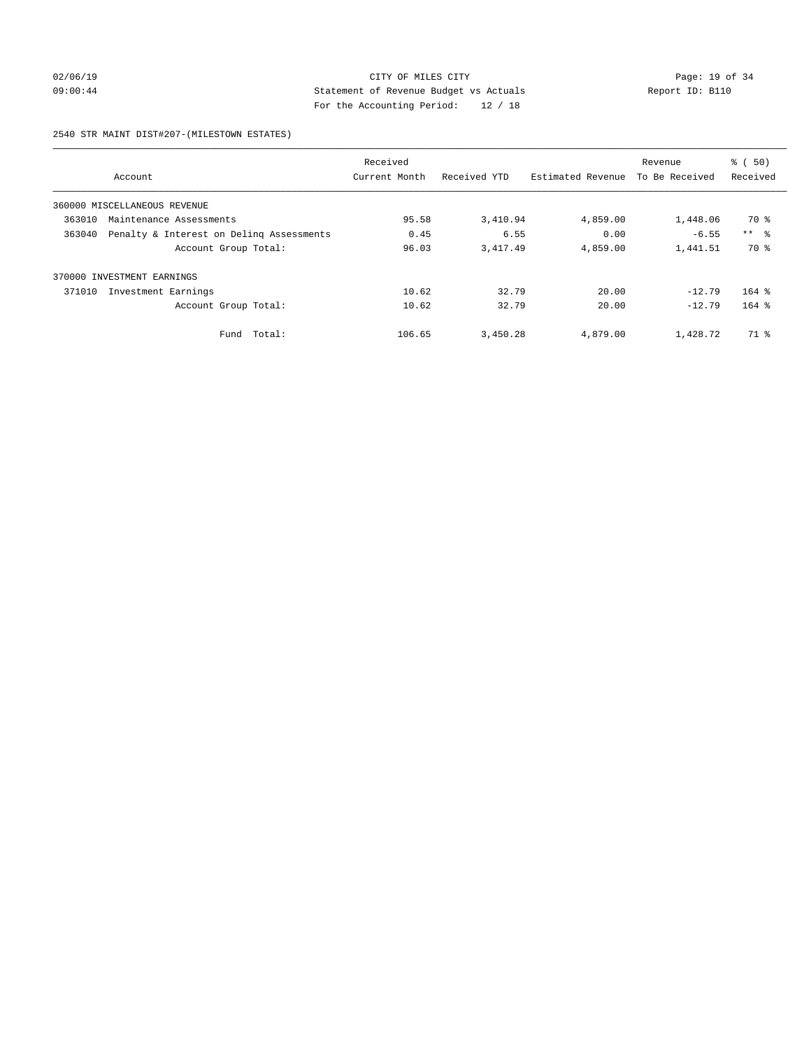## 02/06/19 Page: 19 of 34 09:00:44 Statement of Revenue Budget vs Actuals Report ID: B110 For the Accounting Period: 12 / 18

#### 2540 STR MAINT DIST#207-(MILESTOWN ESTATES)

|        |                                          | Received      |              |                   | Revenue        | % (50)          |
|--------|------------------------------------------|---------------|--------------|-------------------|----------------|-----------------|
|        | Account                                  | Current Month | Received YTD | Estimated Revenue | To Be Received | Received        |
|        | 360000 MISCELLANEOUS REVENUE             |               |              |                   |                |                 |
| 363010 | Maintenance Assessments                  | 95.58         | 3,410.94     | 4,859.00          | 1,448.06       | 70 %            |
| 363040 | Penalty & Interest on Deling Assessments | 0.45          | 6.55         | 0.00              | $-6.55$        | $***$ $\approx$ |
|        | Account Group Total:                     | 96.03         | 3,417.49     | 4,859.00          | 1,441.51       | 70 %            |
| 370000 | INVESTMENT EARNINGS                      |               |              |                   |                |                 |
| 371010 | Investment Earnings                      | 10.62         | 32.79        | 20.00             | $-12.79$       | $164$ $%$       |
|        | Account Group Total:                     | 10.62         | 32.79        | 20.00             | $-12.79$       | $164$ %         |
|        | Total:<br>Fund                           | 106.65        | 3,450.28     | 4,879.00          | 1,428.72       | 71 %            |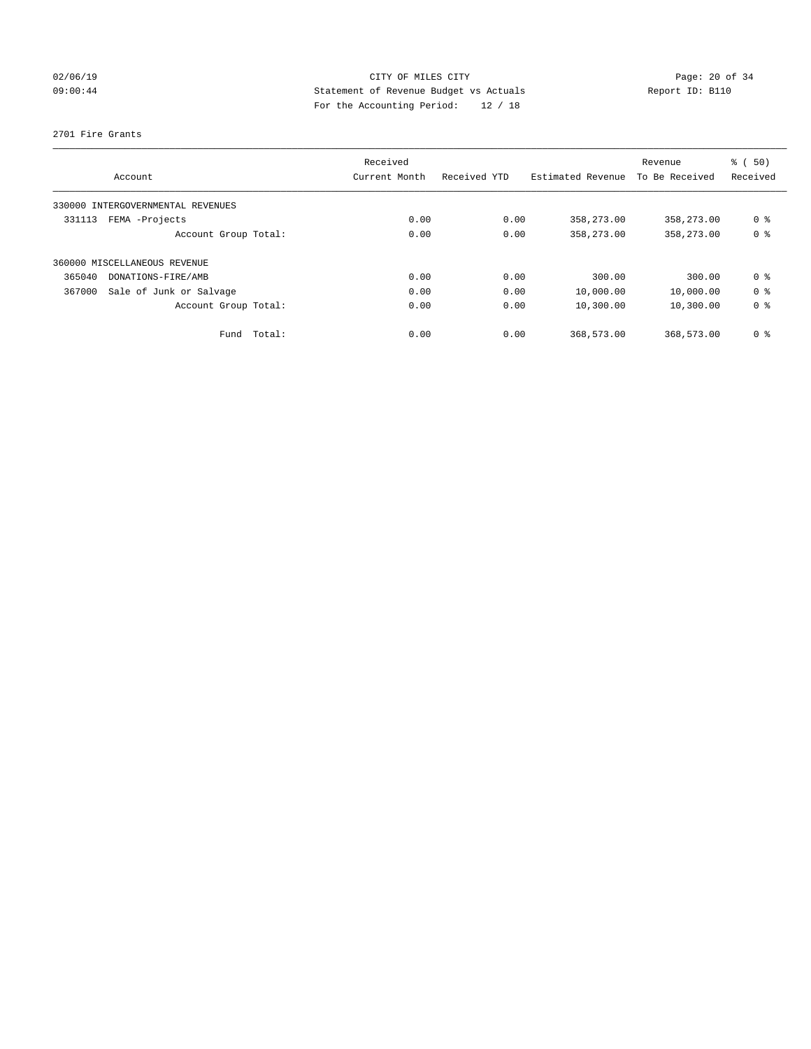## 02/06/19 Page: 20 of 34 09:00:44 Statement of Revenue Budget vs Actuals Report ID: B110 For the Accounting Period: 12 / 18

#### 2701 Fire Grants

| Account                           | Received<br>Current Month | Received YTD | Estimated Revenue | Revenue<br>To Be Received | % (50)<br>Received |
|-----------------------------------|---------------------------|--------------|-------------------|---------------------------|--------------------|
|                                   |                           |              |                   |                           |                    |
| 330000 INTERGOVERNMENTAL REVENUES |                           |              |                   |                           |                    |
| FEMA -Projects<br>331113          | 0.00                      | 0.00         | 358,273.00        | 358,273.00                | 0 %                |
| Account Group Total:              | 0.00                      | 0.00         | 358,273.00        | 358,273.00                | 0 <sup>8</sup>     |
| 360000 MISCELLANEOUS REVENUE      |                           |              |                   |                           |                    |
| 365040<br>DONATIONS-FIRE/AMB      | 0.00                      | 0.00         | 300.00            | 300.00                    | 0 <sup>8</sup>     |
| 367000<br>Sale of Junk or Salvage | 0.00                      | 0.00         | 10,000.00         | 10,000.00                 | 0 <sup>8</sup>     |
| Account Group Total:              | 0.00                      | 0.00         | 10,300.00         | 10,300.00                 | 0 <sup>8</sup>     |
| Fund Total:                       | 0.00                      | 0.00         | 368,573.00        | 368,573.00                | 0 %                |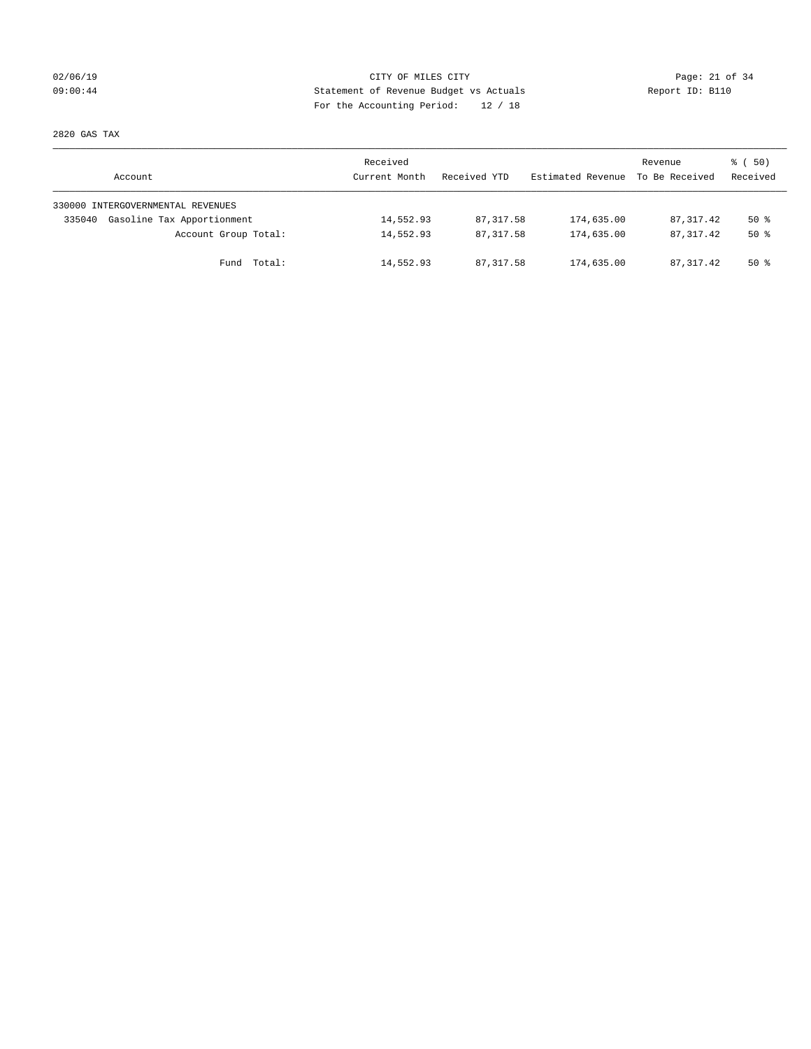## 02/06/19 Page: 21 of 34 09:00:44 Statement of Revenue Budget vs Actuals Report ID: B110 For the Accounting Period: 12 / 18

2820 GAS TAX

| Account                              | Received<br>Current Month | Received YTD | Estimated Revenue | Revenue<br>To Be Received | 8 ( 50)<br>Received |
|--------------------------------------|---------------------------|--------------|-------------------|---------------------------|---------------------|
| 330000 INTERGOVERNMENTAL REVENUES    |                           |              |                   |                           |                     |
| Gasoline Tax Apportionment<br>335040 | 14,552.93                 | 87, 317.58   | 174,635.00        | 87, 317.42                | $50*$               |
| Account Group Total:                 | 14,552.93                 | 87, 317.58   | 174,635.00        | 87, 317, 42               | $50*$               |
| Fund Total:                          | 14,552.93                 | 87, 317, 58  | 174,635.00        | 87, 317, 42               | $50*$               |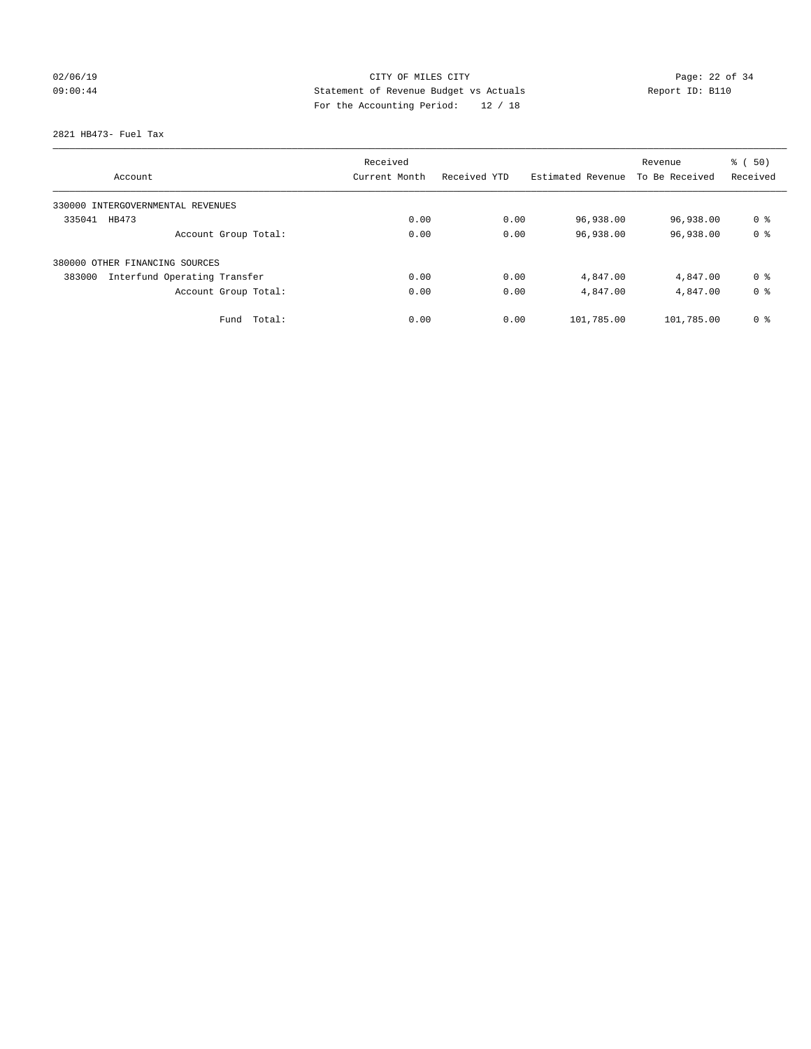## 02/06/19 Page: 22 of 34 09:00:44 Statement of Revenue Budget vs Actuals Report ID: B110 For the Accounting Period: 12 / 18

2821 HB473- Fuel Tax

| Account                                | Received<br>Current Month | Received YTD | Estimated Revenue | Revenue<br>To Be Received | % (50)<br>Received |
|----------------------------------------|---------------------------|--------------|-------------------|---------------------------|--------------------|
|                                        |                           |              |                   |                           |                    |
| 330000 INTERGOVERNMENTAL REVENUES      |                           |              |                   |                           |                    |
| 335041<br>HB473                        | 0.00                      | 0.00         | 96,938.00         | 96,938.00                 | 0 <sup>8</sup>     |
| Account Group Total:                   | 0.00                      | 0.00         | 96,938.00         | 96,938.00                 | 0 <sup>8</sup>     |
| 380000 OTHER FINANCING SOURCES         |                           |              |                   |                           |                    |
| Interfund Operating Transfer<br>383000 | 0.00                      | 0.00         | 4,847.00          | 4,847.00                  | 0 <sup>8</sup>     |
| Account Group Total:                   | 0.00                      | 0.00         | 4,847.00          | 4,847.00                  | 0 <sup>8</sup>     |
| Total:<br>Fund                         | 0.00                      | 0.00         | 101,785.00        | 101,785.00                | 0 <sup>8</sup>     |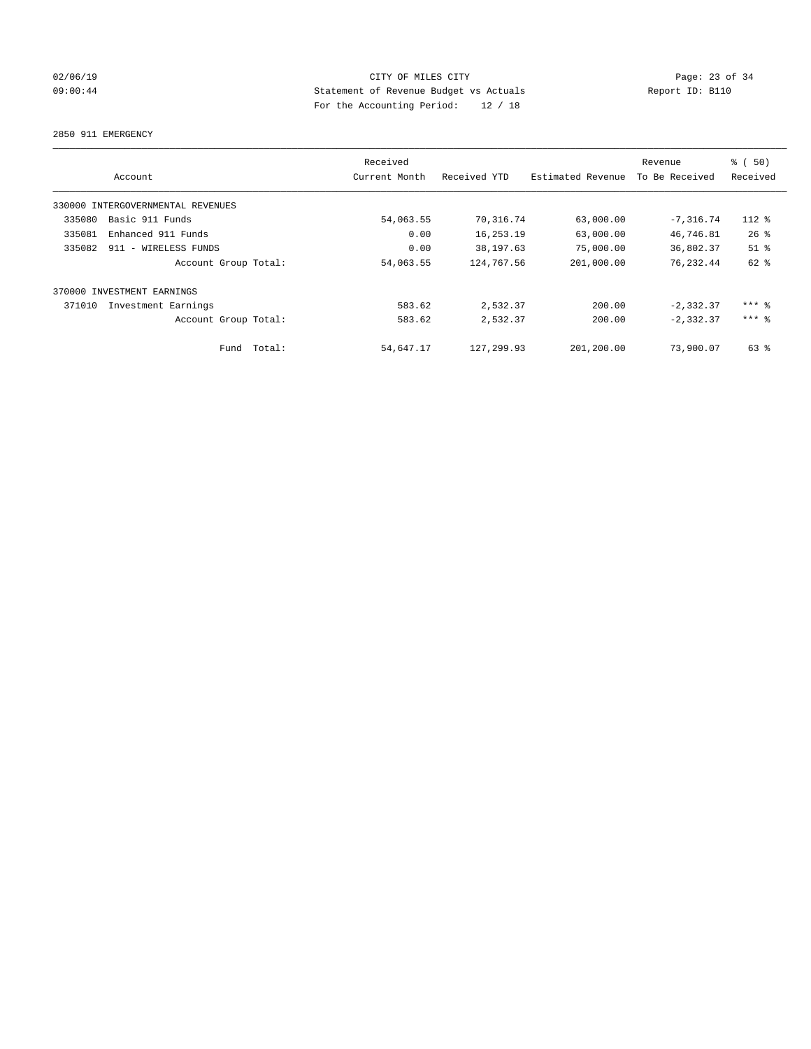## 02/06/19 Page: 23 of 34 09:00:44 Statement of Revenue Budget vs Actuals Report ID: B110 For the Accounting Period: 12 / 18

2850 911 EMERGENCY

|        |                                   |        | Received      |              |                   | Revenue        | % (50)    |
|--------|-----------------------------------|--------|---------------|--------------|-------------------|----------------|-----------|
|        | Account                           |        | Current Month | Received YTD | Estimated Revenue | To Be Received | Received  |
|        | 330000 INTERGOVERNMENTAL REVENUES |        |               |              |                   |                |           |
| 335080 | Basic 911 Funds                   |        | 54,063.55     | 70,316.74    | 63,000.00         | $-7, 316.74$   | $112*$    |
| 335081 | Enhanced 911 Funds                |        | 0.00          | 16,253.19    | 63,000.00         | 46,746.81      | 26%       |
| 335082 | 911 - WIRELESS FUNDS              |        | 0.00          | 38,197.63    | 75,000.00         | 36,802.37      | $51$ %    |
|        | Account Group Total:              |        | 54,063.55     | 124,767.56   | 201,000.00        | 76, 232.44     | 62 %      |
| 370000 | INVESTMENT EARNINGS               |        |               |              |                   |                |           |
| 371010 | Investment Earnings               |        | 583.62        | 2,532.37     | 200.00            | $-2, 332.37$   | $***$ $%$ |
|        | Account Group Total:              |        | 583.62        | 2,532.37     | 200.00            | $-2, 332.37$   | $***$ 2   |
|        | Fund                              | Total: | 54,647.17     | 127, 299.93  | 201,200.00        | 73,900.07      | 63 %      |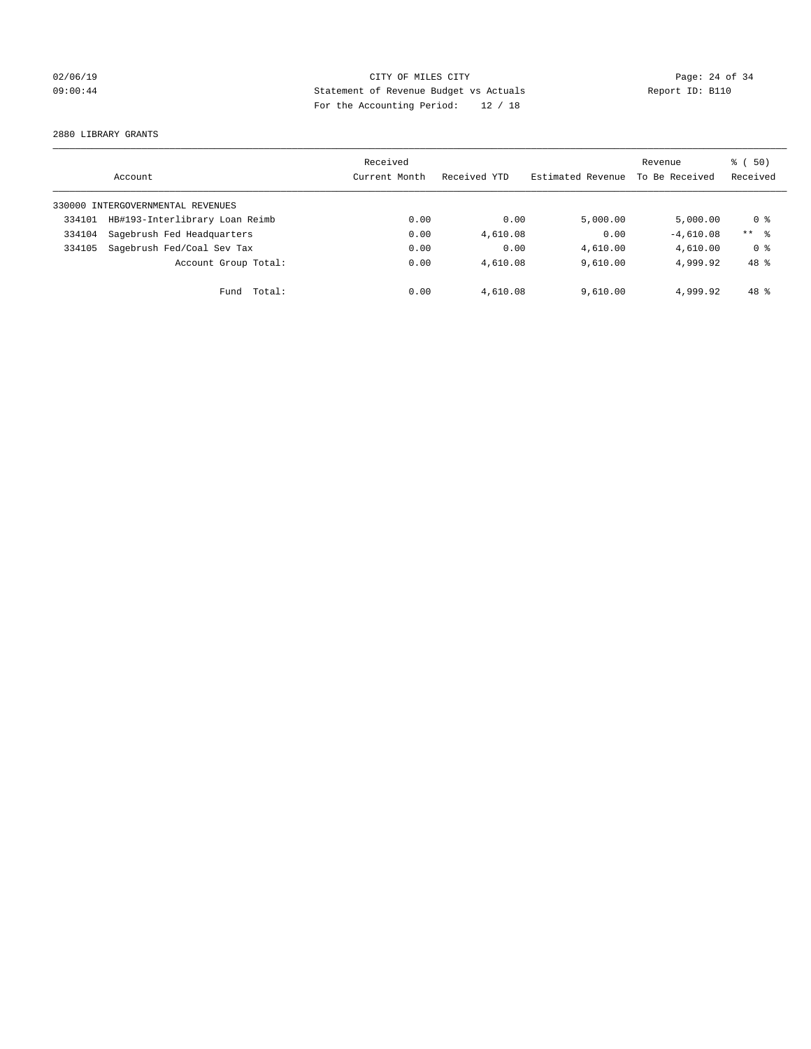## 02/06/19 Page: 24 of 34 09:00:44 Statement of Revenue Budget vs Actuals Report ID: B110 For the Accounting Period: 12 / 18

2880 LIBRARY GRANTS

|        | Account                           | Received<br>Current Month | Received YTD | Estimated Revenue | Revenue<br>To Be Received | 8 ( 50)<br>Received |
|--------|-----------------------------------|---------------------------|--------------|-------------------|---------------------------|---------------------|
|        | 330000 INTERGOVERNMENTAL REVENUES |                           |              |                   |                           |                     |
| 334101 | HB#193-Interlibrary Loan Reimb    | 0.00                      | 0.00         | 5.000.00          | 5,000.00                  | 0 %                 |
| 334104 | Sagebrush Fed Headquarters        | 0.00                      | 4,610.08     | 0.00              | $-4,610.08$               | $***$ $\approx$     |
| 334105 | Sagebrush Fed/Coal Sev Tax        | 0.00                      | 0.00         | 4,610.00          | 4,610.00                  | 0 <sup>8</sup>      |
|        | Account Group Total:              | 0.00                      | 4,610.08     | 9.610.00          | 4,999.92                  | 48 %                |
|        | Total:<br>Fund                    | 0.00                      | 4,610.08     | 9,610.00          | 4,999.92                  | 48 %                |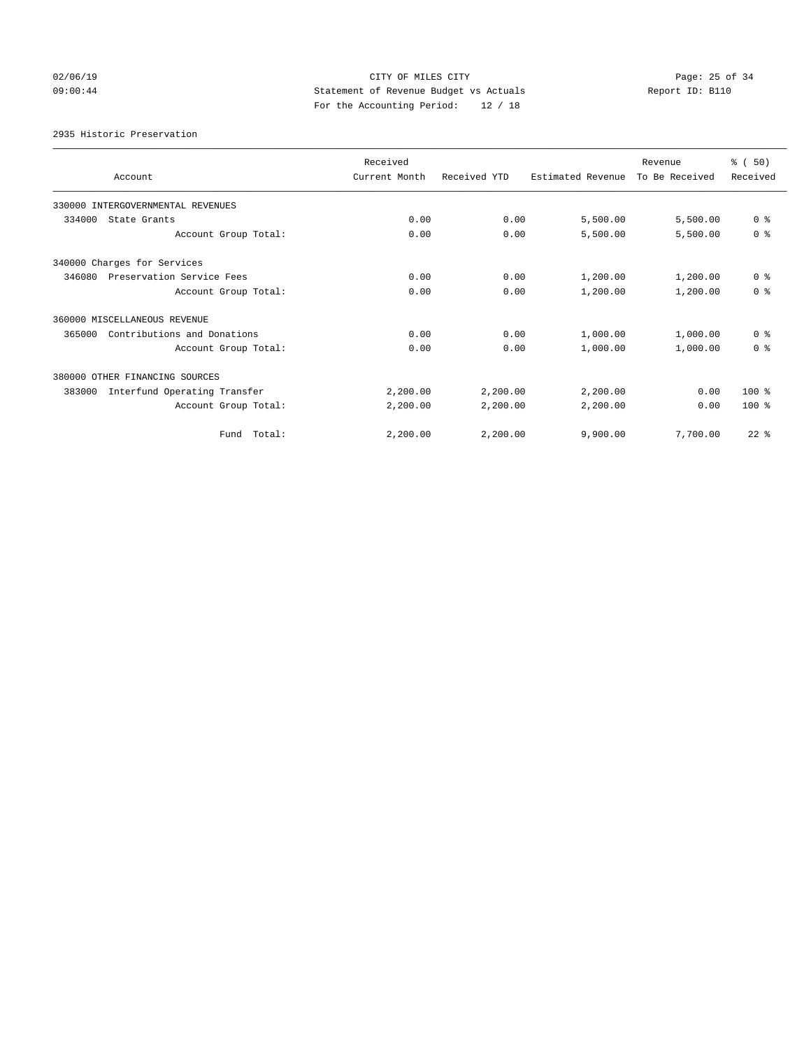## 02/06/19 Page: 25 of 34 09:00:44 Statement of Revenue Budget vs Actuals Report ID: B110 For the Accounting Period: 12 / 18

2935 Historic Preservation

| Account                                | Received<br>Current Month | Received YTD | Estimated Revenue | Revenue<br>To Be Received | % (50)<br>Received |
|----------------------------------------|---------------------------|--------------|-------------------|---------------------------|--------------------|
| 330000 INTERGOVERNMENTAL REVENUES      |                           |              |                   |                           |                    |
| 334000<br>State Grants                 | 0.00                      | 0.00         | 5,500.00          | 5,500.00                  | 0 <sup>8</sup>     |
| Account Group Total:                   | 0.00                      | 0.00         | 5,500.00          | 5,500.00                  | 0 <sup>8</sup>     |
| 340000 Charges for Services            |                           |              |                   |                           |                    |
| Preservation Service Fees<br>346080    | 0.00                      | 0.00         | 1,200.00          | 1,200.00                  | 0 <sup>8</sup>     |
| Account Group Total:                   | 0.00                      | 0.00         | 1,200.00          | 1,200.00                  | 0 <sup>8</sup>     |
| 360000 MISCELLANEOUS REVENUE           |                           |              |                   |                           |                    |
| Contributions and Donations<br>365000  | 0.00                      | 0.00         | 1,000.00          | 1,000.00                  | 0 <sup>8</sup>     |
| Account Group Total:                   | 0.00                      | 0.00         | 1,000.00          | 1,000.00                  | 0 <sup>8</sup>     |
| 380000 OTHER FINANCING SOURCES         |                           |              |                   |                           |                    |
| Interfund Operating Transfer<br>383000 | 2,200.00                  | 2,200.00     | 2,200.00          | 0.00                      | $100*$             |
| Account Group Total:                   | 2,200.00                  | 2,200.00     | 2,200.00          | 0.00                      | $100*$             |
| Total:<br>Fund                         | 2,200.00                  | 2,200.00     | 9,900.00          | 7,700.00                  | $22$ $%$           |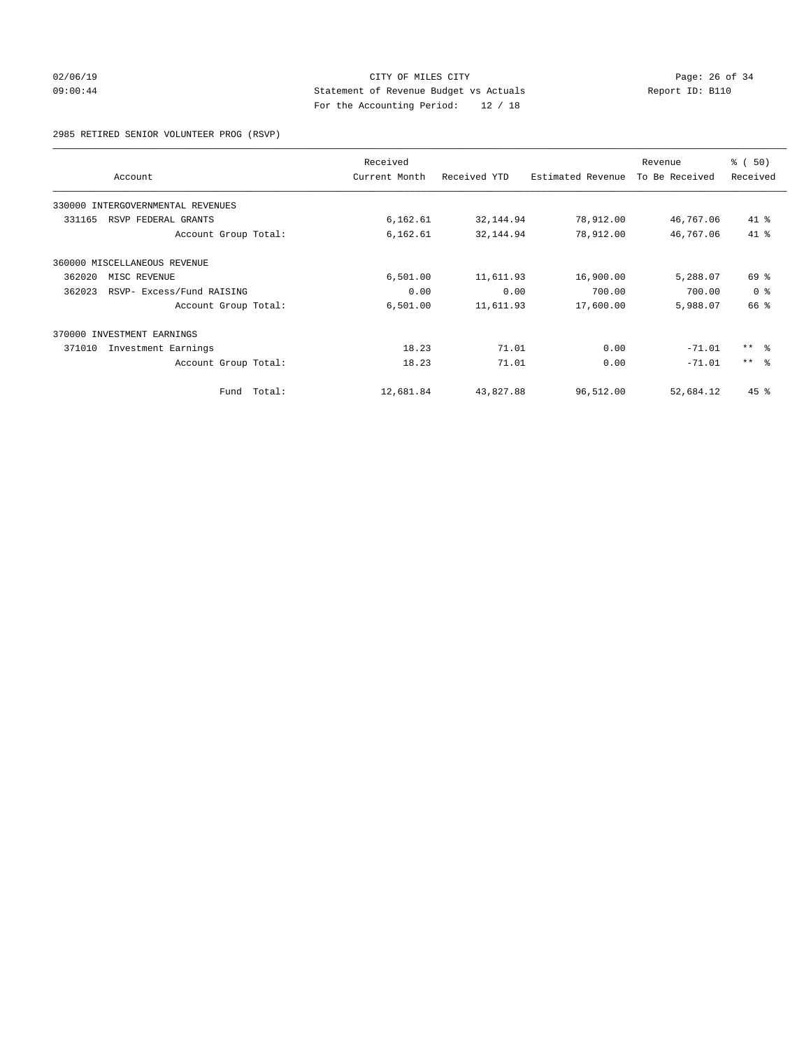# 02/06/19 Page: 26 of 34 09:00:44 Statement of Revenue Budget vs Actuals Report ID: B110 For the Accounting Period: 12 / 18

2985 RETIRED SENIOR VOLUNTEER PROG (RSVP)

| Account                             |        | Received<br>Current Month | Received YTD | Estimated Revenue | Revenue<br>To Be Received | % (50)<br>Received |
|-------------------------------------|--------|---------------------------|--------------|-------------------|---------------------------|--------------------|
| 330000 INTERGOVERNMENTAL REVENUES   |        |                           |              |                   |                           |                    |
| 331165<br>RSVP FEDERAL GRANTS       |        | 6,162.61                  | 32,144.94    | 78,912.00         | 46,767.06                 | 41 %               |
| Account Group Total:                |        | 6,162.61                  | 32,144.94    | 78,912.00         | 46,767.06                 | 41.8               |
| 360000 MISCELLANEOUS REVENUE        |        |                           |              |                   |                           |                    |
| 362020<br>MISC REVENUE              |        | 6,501.00                  | 11,611.93    | 16,900.00         | 5,288.07                  | $69*$              |
| 362023<br>RSVP- Excess/Fund RAISING |        | 0.00                      | 0.00         | 700.00            | 700.00                    | 0 <sup>8</sup>     |
| Account Group Total:                |        | 6,501.00                  | 11,611.93    | 17,600.00         | 5,988.07                  | 66 %               |
| 370000 INVESTMENT EARNINGS          |        |                           |              |                   |                           |                    |
| 371010<br>Investment Earnings       |        | 18.23                     | 71.01        | 0.00              | $-71.01$                  | $***$ $\approx$    |
| Account Group Total:                |        | 18.23                     | 71.01        | 0.00              | $-71.01$                  | $***$ $ -$         |
| Fund                                | Total: | 12,681.84                 | 43,827.88    | 96,512.00         | 52,684.12                 | $45$ %             |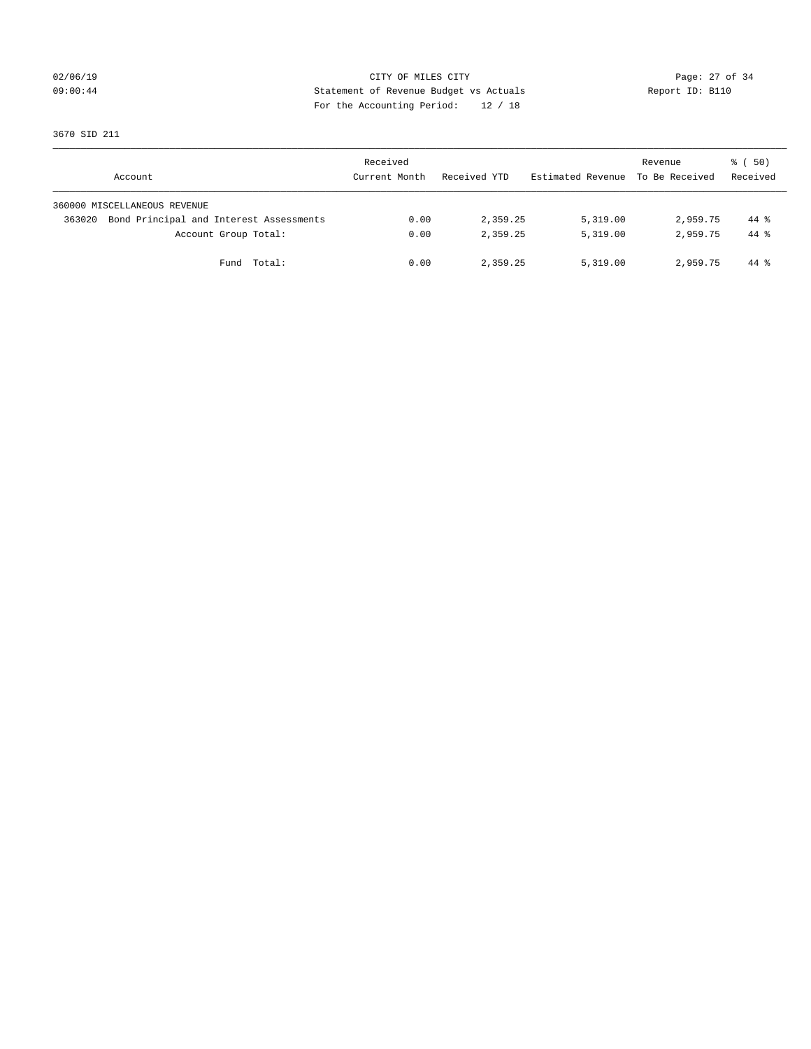## 02/06/19 Page: 27 of 34 09:00:44 Statement of Revenue Budget vs Actuals Report ID: B110 For the Accounting Period: 12 / 18

3670 SID 211

| Account                                           | Received<br>Current Month | Received YTD | Estimated Revenue | Revenue<br>To Be Received | 8 ( 50)<br>Received |
|---------------------------------------------------|---------------------------|--------------|-------------------|---------------------------|---------------------|
| 360000 MISCELLANEOUS REVENUE                      |                           |              |                   |                           |                     |
| Bond Principal and Interest Assessments<br>363020 | 0.00                      | 2,359.25     | 5,319.00          | 2,959.75                  | 44 %                |
| Account Group Total:                              | 0.00                      | 2,359.25     | 5,319.00          | 2,959.75                  | $44*$               |
| Fund Total:                                       | 0.00                      | 2,359.25     | 5,319.00          | 2,959.75                  | 44 %                |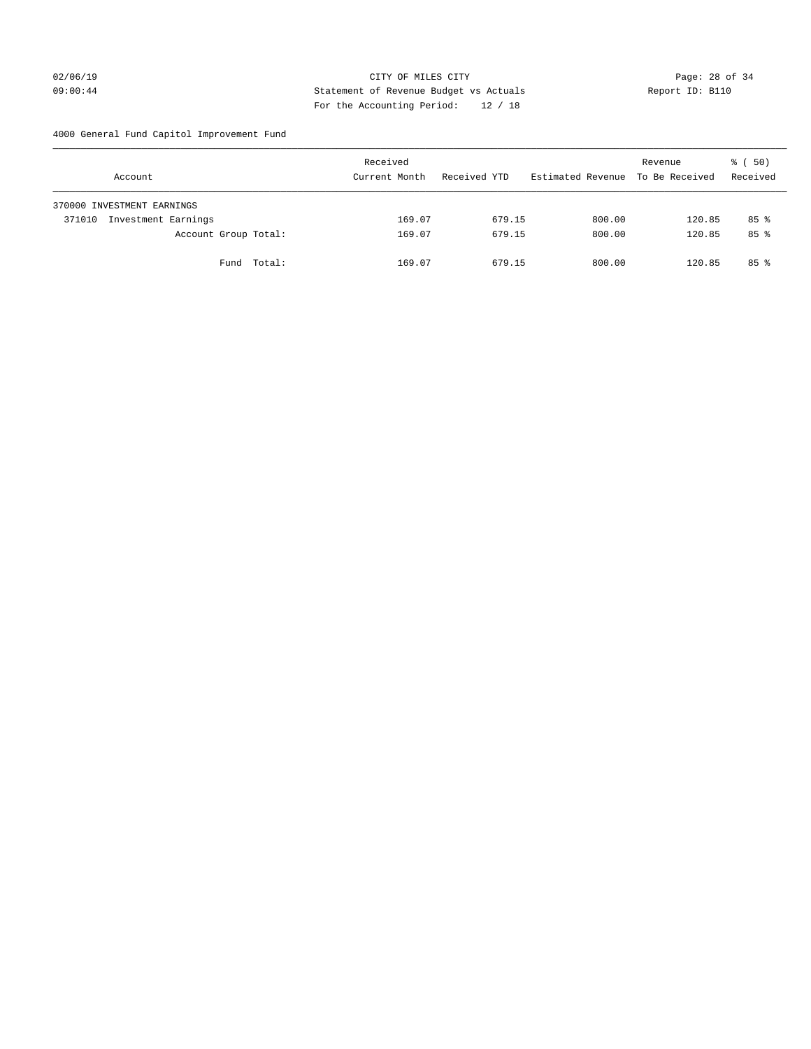# 02/06/19 Page: 28 of 34 09:00:44 Statement of Revenue Budget vs Actuals Report ID: B110 For the Accounting Period: 12 / 18

4000 General Fund Capitol Improvement Fund

|        | Account                    |             | Received<br>Current Month |        | Received YTD |        | Estimated Revenue |        | Revenue<br>To Be Received |        | 8 ( 50)<br>Received |  |
|--------|----------------------------|-------------|---------------------------|--------|--------------|--------|-------------------|--------|---------------------------|--------|---------------------|--|
|        | 370000 INVESTMENT EARNINGS |             |                           |        |              |        |                   |        |                           |        |                     |  |
| 371010 | Investment Earnings        |             |                           | 169.07 |              | 679.15 |                   | 800.00 |                           | 120.85 | $85$ %              |  |
|        | Account Group Total:       |             |                           | 169.07 |              | 679.15 |                   | 800.00 |                           | 120.85 | 85 <sup>8</sup>     |  |
|        |                            | Fund Total: |                           | 169.07 |              | 679.15 |                   | 800.00 |                           | 120.85 | $85*$               |  |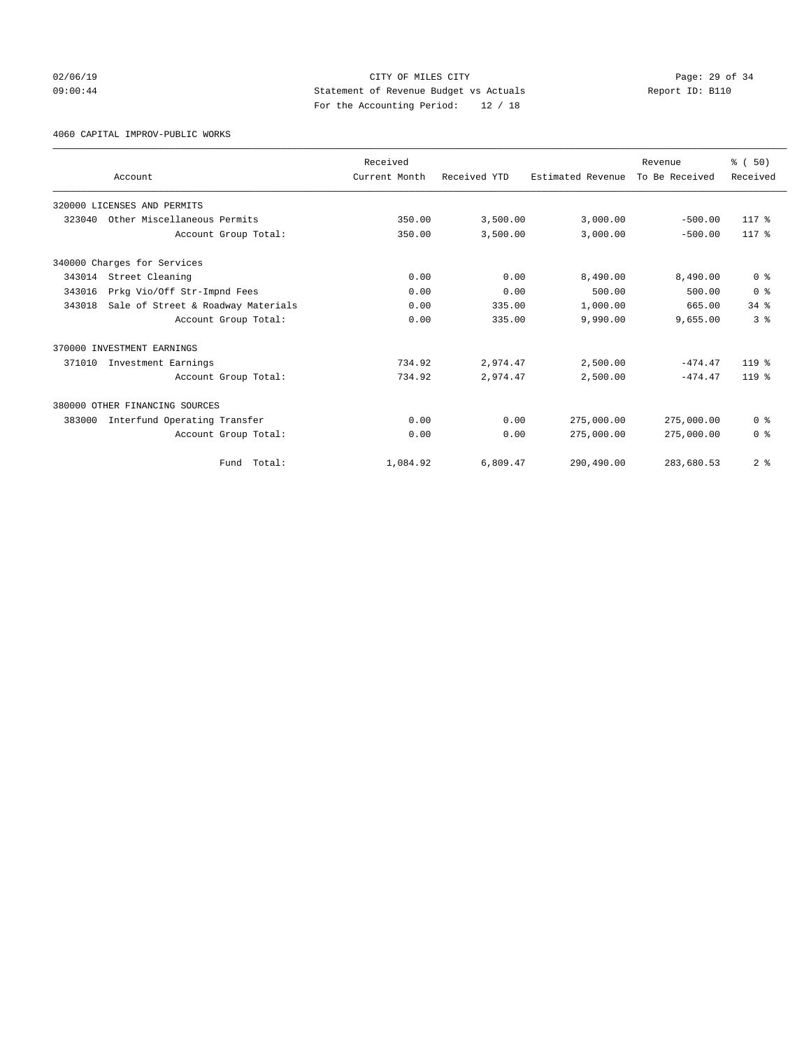## 02/06/19 Page: 29 of 34 09:00:44 Statement of Revenue Budget vs Actuals Report ID: B110 For the Accounting Period: 12 / 18

4060 CAPITAL IMPROV-PUBLIC WORKS

|        |                                    | Received      |              |                   | Revenue        | % (50)         |
|--------|------------------------------------|---------------|--------------|-------------------|----------------|----------------|
|        | Account                            | Current Month | Received YTD | Estimated Revenue | To Be Received | Received       |
|        | 320000 LICENSES AND PERMITS        |               |              |                   |                |                |
| 323040 | Other Miscellaneous Permits        | 350.00        | 3,500.00     | 3,000.00          | $-500.00$      | 117 %          |
|        | Account Group Total:               | 350.00        | 3,500.00     | 3,000.00          | $-500.00$      | 117 %          |
|        | 340000 Charges for Services        |               |              |                   |                |                |
| 343014 | Street Cleaning                    | 0.00          | 0.00         | 8,490.00          | 8,490.00       | 0 <sup>8</sup> |
| 343016 | Prkg Vio/Off Str-Impnd Fees        | 0.00          | 0.00         | 500.00            | 500.00         | 0 <sup>8</sup> |
| 343018 | Sale of Street & Roadway Materials | 0.00          | 335.00       | 1,000.00          | 665.00         | 34.8           |
|        | Account Group Total:               | 0.00          | 335.00       | 9,990.00          | 9,655.00       | 3 <sup>8</sup> |
|        | 370000 INVESTMENT EARNINGS         |               |              |                   |                |                |
| 371010 | Investment Earnings                | 734.92        | 2,974.47     | 2,500.00          | $-474.47$      | $119*$         |
|        | Account Group Total:               | 734.92        | 2,974.47     | 2,500.00          | $-474.47$      | $119*$         |
|        | 380000 OTHER FINANCING SOURCES     |               |              |                   |                |                |
| 383000 | Interfund Operating Transfer       | 0.00          | 0.00         | 275,000.00        | 275,000.00     | 0 <sup>8</sup> |
|        | Account Group Total:               | 0.00          | 0.00         | 275,000.00        | 275,000.00     | 0 <sup>8</sup> |
|        | Total:<br>Fund                     | 1,084.92      | 6,809.47     | 290,490.00        | 283,680.53     | 2 <sup>8</sup> |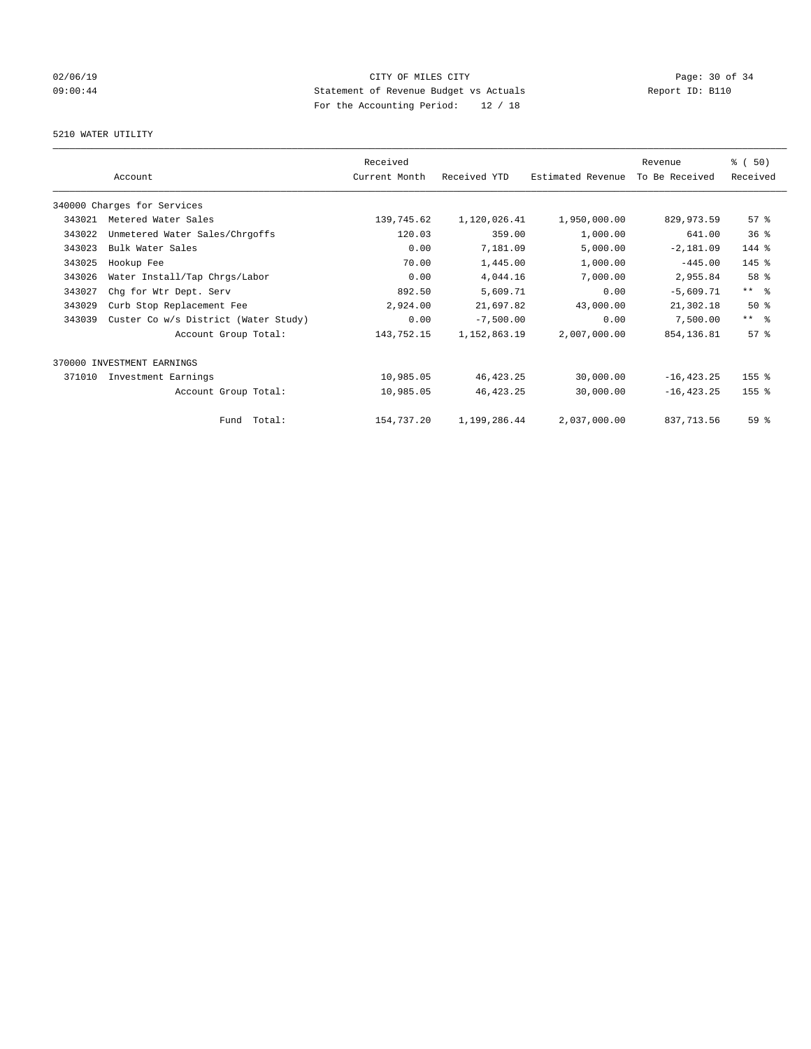## 02/06/19 Page: 30 of 34 09:00:44 Statement of Revenue Budget vs Actuals Report ID: B110 For the Accounting Period: 12 / 18

## 5210 WATER UTILITY

|        |                                      | Received      |              |                   | Revenue        | % (50)              |
|--------|--------------------------------------|---------------|--------------|-------------------|----------------|---------------------|
|        | Account                              | Current Month | Received YTD | Estimated Revenue | To Be Received | Received            |
|        | 340000 Charges for Services          |               |              |                   |                |                     |
| 343021 | Metered Water Sales                  | 139,745.62    | 1,120,026.41 | 1,950,000.00      | 829,973.59     | $57$ $%$            |
| 343022 | Unmetered Water Sales/Chrgoffs       | 120.03        | 359.00       | 1,000.00          | 641.00         | 36 <sup>8</sup>     |
| 343023 | Bulk Water Sales                     | 0.00          | 7,181.09     | 5,000.00          | $-2,181.09$    | 144 %               |
| 343025 | Hookup Fee                           | 70.00         | 1,445.00     | 1,000.00          | $-445.00$      | 145 %               |
| 343026 | Water Install/Tap Chrgs/Labor        | 0.00          | 4,044.16     | 7,000.00          | 2,955.84       | 58 %                |
| 343027 | Chg for Wtr Dept. Serv               | 892.50        | 5,609.71     | 0.00              | $-5,609.71$    | $***$ $ -$          |
| 343029 | Curb Stop Replacement Fee            | 2,924.00      | 21,697.82    | 43,000.00         | 21,302.18      | $50*$               |
| 343039 | Custer Co w/s District (Water Study) | 0.00          | $-7,500.00$  | 0.00              | 7,500.00       | $***$ $\frac{6}{5}$ |
|        | Account Group Total:                 | 143,752.15    | 1,152,863.19 | 2,007,000.00      | 854,136.81     | 57%                 |
|        | 370000 INVESTMENT EARNINGS           |               |              |                   |                |                     |
| 371010 | Investment Earnings                  | 10,985.05     | 46, 423. 25  | 30,000.00         | $-16, 423.25$  | 155 %               |
|        | Account Group Total:                 | 10,985.05     | 46, 423. 25  | 30,000.00         | $-16, 423.25$  | 155 <sub>8</sub>    |
|        | Fund Total:                          | 154,737.20    | 1,199,286.44 | 2,037,000.00      | 837, 713.56    | 59 <sub>8</sub>     |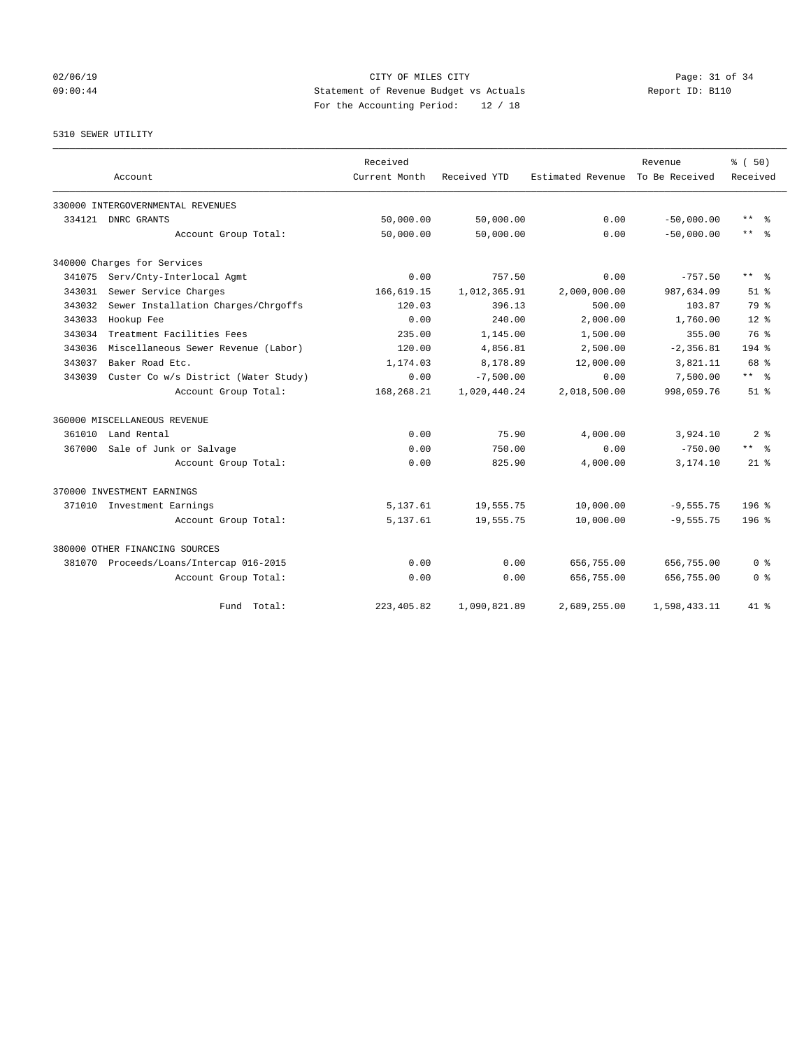## 02/06/19 Page: 31 of 34 09:00:44 Statement of Revenue Budget vs Actuals Report ID: B110 For the Accounting Period: 12 / 18

5310 SEWER UTILITY

|        | Account                                 | Received<br>Current Month | Received YTD | Estimated Revenue | Revenue<br>To Be Received | % (50)<br>Received      |  |
|--------|-----------------------------------------|---------------------------|--------------|-------------------|---------------------------|-------------------------|--|
|        | 330000 INTERGOVERNMENTAL REVENUES       |                           |              |                   |                           |                         |  |
| 334121 | DNRC GRANTS                             | 50,000.00                 | 50,000.00    | 0.00              | $-50,000.00$              | $***$<br>- 왕            |  |
|        | Account Group Total:                    | 50,000.00                 | 50,000.00    | 0.00              | $-50,000,00$              | $***$ $=$ $\frac{6}{5}$ |  |
|        | 340000 Charges for Services             |                           |              |                   |                           |                         |  |
| 341075 | Serv/Cnty-Interlocal Agmt               | 0.00                      | 757.50       | 0.00              | $-757.50$                 | $***$ $=$               |  |
| 343031 | Sewer Service Charges                   | 166,619.15                | 1,012,365.91 | 2,000,000.00      | 987,634.09                | $51$ $%$                |  |
| 343032 | Sewer Installation Charges/Chrgoffs     | 120.03                    | 396.13       | 500.00            | 103.87                    | 79 %                    |  |
| 343033 | Hookup Fee                              | 0.00                      | 240.00       | 2,000.00          | 1,760.00                  | $12*$                   |  |
| 343034 | Treatment Facilities Fees               | 235.00                    | 1,145.00     | 1,500.00          | 355.00                    | 76 %                    |  |
| 343036 | Miscellaneous Sewer Revenue (Labor)     | 120.00                    | 4,856.81     | 2,500.00          | $-2, 356.81$              | $194$ %                 |  |
| 343037 | Baker Road Etc.                         | 1,174.03                  | 8,178.89     | 12,000.00         | 3,821.11                  | 68 %                    |  |
| 343039 | Custer Co w/s District (Water Study)    | 0.00                      | $-7,500.00$  | 0.00              | 7,500.00                  | $***$ $ -$              |  |
|        | Account Group Total:                    | 168,268.21                | 1,020,440.24 | 2,018,500.00      | 998,059.76                | $51$ $%$                |  |
|        | 360000 MISCELLANEOUS REVENUE            |                           |              |                   |                           |                         |  |
|        | 361010 Land Rental                      | 0.00                      | 75.90        | 4,000.00          | 3,924.10                  | 2 <sup>8</sup>          |  |
| 367000 | Sale of Junk or Salvage                 | 0.00                      | 750.00       | 0.00              | $-750.00$                 | $***$ $=$ $\frac{6}{5}$ |  |
|        | Account Group Total:                    | 0.00                      | 825.90       | 4,000.00          | 3,174.10                  | $21*$                   |  |
|        | 370000 INVESTMENT EARNINGS              |                           |              |                   |                           |                         |  |
|        | 371010 Investment Earnings              | 5,137.61                  | 19,555.75    | 10,000.00         | $-9,555.75$               | $196$ %                 |  |
|        | Account Group Total:                    | 5,137.61                  | 19,555.75    | 10,000.00         | $-9,555.75$               | 196 <sup>8</sup>        |  |
|        | 380000 OTHER FINANCING SOURCES          |                           |              |                   |                           |                         |  |
|        | 381070 Proceeds/Loans/Intercap 016-2015 | 0.00                      | 0.00         | 656,755.00        | 656,755.00                | 0 <sup>8</sup>          |  |
|        | Account Group Total:                    | 0.00                      | 0.00         | 656,755.00        | 656,755.00                | 0 <sup>8</sup>          |  |
|        | Fund Total:                             | 223, 405.82               | 1,090,821.89 | 2,689,255.00      | 1,598,433.11              | $41*$                   |  |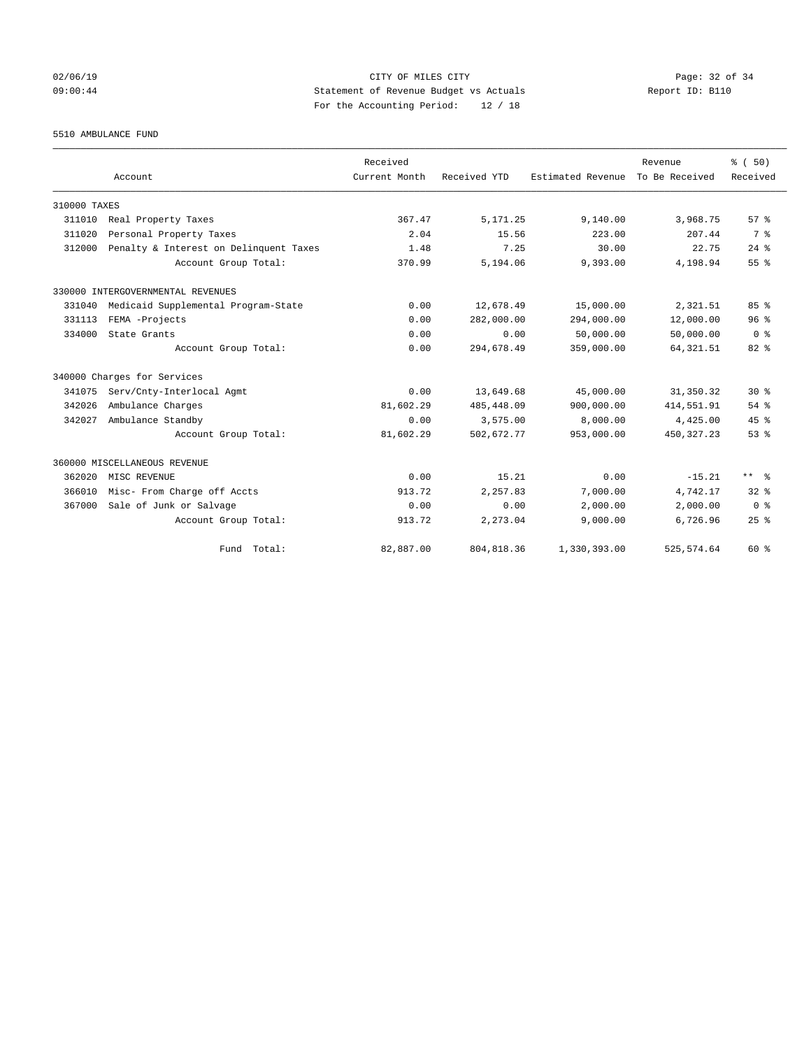## 02/06/19 Page: 32 of 34 09:00:44 Statement of Revenue Budget vs Actuals Report ID: B110 For the Accounting Period: 12 / 18

5510 AMBULANCE FUND

|              |                                        | Received      |              |                   | Revenue        | % (50)         |
|--------------|----------------------------------------|---------------|--------------|-------------------|----------------|----------------|
|              | Account                                | Current Month | Received YTD | Estimated Revenue | To Be Received | Received       |
| 310000 TAXES |                                        |               |              |                   |                |                |
| 311010       | Real Property Taxes                    | 367.47        | 5, 171.25    | 9,140.00          | 3,968.75       | 57%            |
| 311020       | Personal Property Taxes                | 2.04          | 15.56        | 223.00            | 207.44         | 7 <sup>8</sup> |
| 312000       | Penalty & Interest on Delinquent Taxes | 1.48          | 7.25         | 30.00             | 22.75          | $24$ %         |
|              | Account Group Total:                   | 370.99        | 5,194.06     | 9,393.00          | 4,198.94       | 55%            |
|              | 330000 INTERGOVERNMENTAL REVENUES      |               |              |                   |                |                |
| 331040       | Medicaid Supplemental Program-State    | 0.00          | 12,678.49    | 15,000.00         | 2,321.51       | 85%            |
| 331113       | FEMA -Projects                         | 0.00          | 282,000.00   | 294,000.00        | 12,000.00      | 96%            |
| 334000       | State Grants                           | 0.00          | 0.00         | 50,000.00         | 50,000.00      | 0 <sup>8</sup> |
|              | Account Group Total:                   | 0.00          | 294,678.49   | 359,000.00        | 64, 321.51     | $82*$          |
|              | 340000 Charges for Services            |               |              |                   |                |                |
| 341075       | Serv/Cnty-Interlocal Agmt              | 0.00          | 13,649.68    | 45,000.00         | 31, 350.32     | $30*$          |
| 342026       | Ambulance Charges                      | 81,602.29     | 485, 448.09  | 900,000.00        | 414,551.91     | $54$ $%$       |
| 342027       | Ambulance Standby                      | 0.00          | 3,575.00     | 8,000.00          | 4,425.00       | 45%            |
|              | Account Group Total:                   | 81,602.29     | 502,672.77   | 953,000.00        | 450, 327. 23   | 53%            |
|              | 360000 MISCELLANEOUS REVENUE           |               |              |                   |                |                |
| 362020       | MISC REVENUE                           | 0.00          | 15.21        | 0.00              | $-15.21$       | $***$ $ -$     |
| 366010       | Misc- From Charge off Accts            | 913.72        | 2,257.83     | 7,000.00          | 4,742.17       | $32*$          |
| 367000       | Sale of Junk or Salvage                | 0.00          | 0.00         | 2,000.00          | 2,000.00       | 0 <sup>8</sup> |
|              | Account Group Total:                   | 913.72        | 2,273.04     | 9,000.00          | 6,726.96       | 25%            |
|              | Fund Total:                            | 82,887.00     | 804, 818.36  | 1,330,393.00      | 525, 574.64    | 60 %           |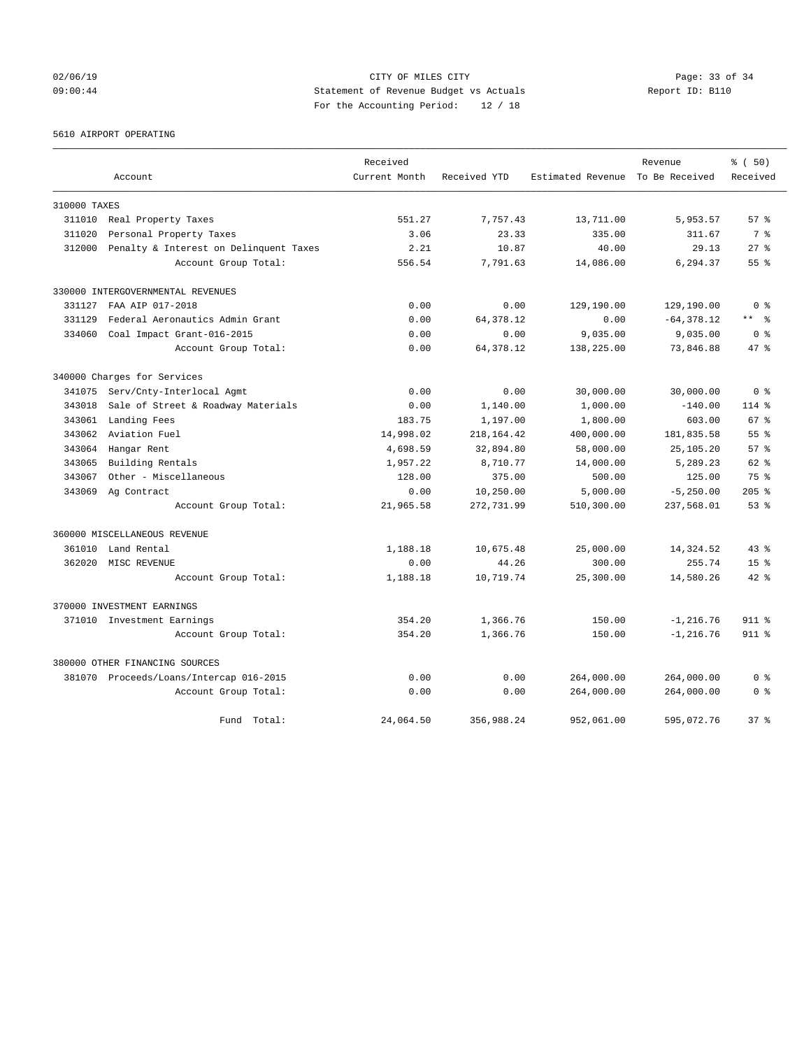## 02/06/19 Page: 33 of 34 09:00:44 Statement of Revenue Budget vs Actuals Report ID: B110 For the Accounting Period: 12 / 18

5610 AIRPORT OPERATING

|              |                                         | Received      |              |                                  | Revenue       | % (50)          |
|--------------|-----------------------------------------|---------------|--------------|----------------------------------|---------------|-----------------|
|              | Account                                 | Current Month | Received YTD | Estimated Revenue To Be Received |               | Received        |
| 310000 TAXES |                                         |               |              |                                  |               |                 |
| 311010       | Real Property Taxes                     | 551.27        | 7,757.43     | 13,711.00                        | 5,953.57      | 57%             |
| 311020       | Personal Property Taxes                 | 3.06          | 23.33        | 335.00                           | 311.67        | 7 <sup>8</sup>  |
| 312000       | Penalty & Interest on Delinquent Taxes  | 2.21          | 10.87        | 40.00                            | 29.13         | $27$ $%$        |
|              | Account Group Total:                    | 556.54        | 7,791.63     | 14,086.00                        | 6,294.37      | 55 <sup>8</sup> |
|              | 330000 INTERGOVERNMENTAL REVENUES       |               |              |                                  |               |                 |
| 331127       | FAA AIP 017-2018                        | 0.00          | 0.00         | 129,190.00                       | 129,190.00    | 0 <sup>8</sup>  |
| 331129       | Federal Aeronautics Admin Grant         | 0.00          | 64, 378.12   | 0.00                             | $-64, 378.12$ | ** 왕            |
| 334060       | Coal Impact Grant-016-2015              | 0.00          | 0.00         | 9,035.00                         | 9,035.00      | 0 <sup>8</sup>  |
|              | Account Group Total:                    | 0.00          | 64, 378.12   | 138,225.00                       | 73,846.88     | 47.8            |
|              | 340000 Charges for Services             |               |              |                                  |               |                 |
| 341075       | Serv/Cnty-Interlocal Agmt               | 0.00          | 0.00         | 30,000.00                        | 30,000.00     | 0 <sup>8</sup>  |
| 343018       | Sale of Street & Roadway Materials      | 0.00          | 1,140.00     | 1,000.00                         | $-140.00$     | $114$ %         |
| 343061       | Landing Fees                            | 183.75        | 1,197.00     | 1,800.00                         | 603.00        | 67 %            |
| 343062       | Aviation Fuel                           | 14,998.02     | 218, 164.42  | 400,000.00                       | 181,835.58    | $55$ $%$        |
| 343064       | Hangar Rent                             | 4,698.59      | 32,894.80    | 58,000.00                        | 25,105.20     | 57%             |
| 343065       | Building Rentals                        | 1,957.22      | 8,710.77     | 14,000.00                        | 5,289.23      | $62$ $%$        |
| 343067       | Other - Miscellaneous                   | 128.00        | 375.00       | 500.00                           | 125.00        | $75*$           |
| 343069       | Ag Contract                             | 0.00          | 10,250.00    | 5,000.00                         | $-5, 250.00$  | $205$ $%$       |
|              | Account Group Total:                    | 21,965.58     | 272,731.99   | 510,300.00                       | 237,568.01    | 53%             |
|              | 360000 MISCELLANEOUS REVENUE            |               |              |                                  |               |                 |
| 361010       | Land Rental                             | 1,188.18      | 10,675.48    | 25,000.00                        | 14,324.52     | $43*$           |
| 362020       | MISC REVENUE                            | 0.00          | 44.26        | 300.00                           | 255.74        | 15 <sub>8</sub> |
|              | Account Group Total:                    | 1,188.18      | 10,719.74    | 25,300.00                        | 14,580.26     | $42*$           |
|              | 370000 INVESTMENT EARNINGS              |               |              |                                  |               |                 |
|              | 371010 Investment Earnings              | 354.20        | 1,366.76     | 150.00                           | $-1, 216.76$  | $911 *$         |
|              | Account Group Total:                    | 354.20        | 1,366.76     | 150.00                           | $-1, 216.76$  | 911 %           |
|              | 380000 OTHER FINANCING SOURCES          |               |              |                                  |               |                 |
|              | 381070 Proceeds/Loans/Intercap 016-2015 | 0.00          | 0.00         | 264,000.00                       | 264,000.00    | 0 <sup>8</sup>  |
|              | Account Group Total:                    | 0.00          | 0.00         | 264,000.00                       | 264,000.00    | 0 <sup>8</sup>  |
|              | Fund Total:                             | 24,064.50     | 356,988.24   | 952,061.00                       | 595,072.76    | 37 <sup>8</sup> |